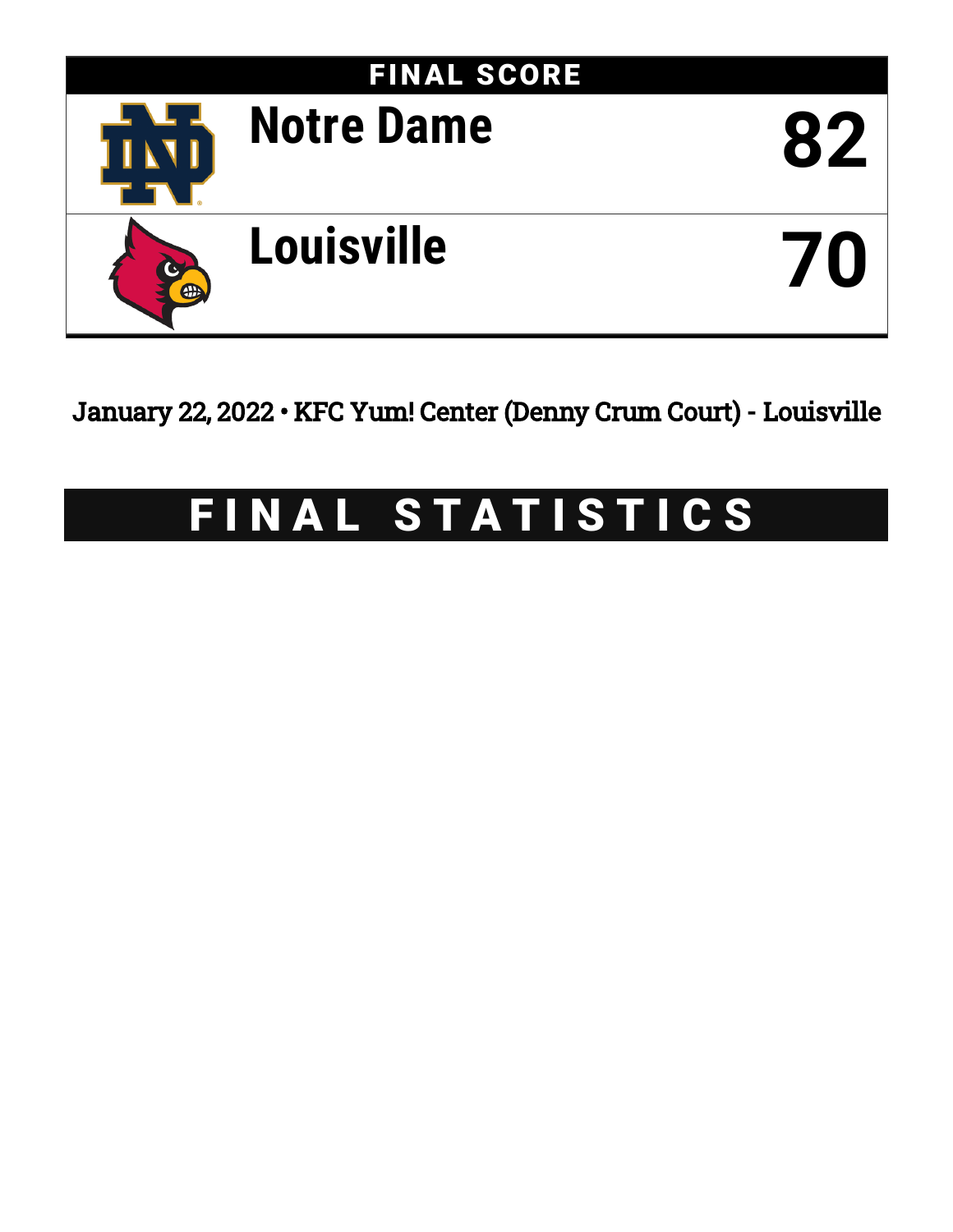

January 22, 2022 • KFC Yum! Center (Denny Crum Court) - Louisville

# FINAL STATISTICS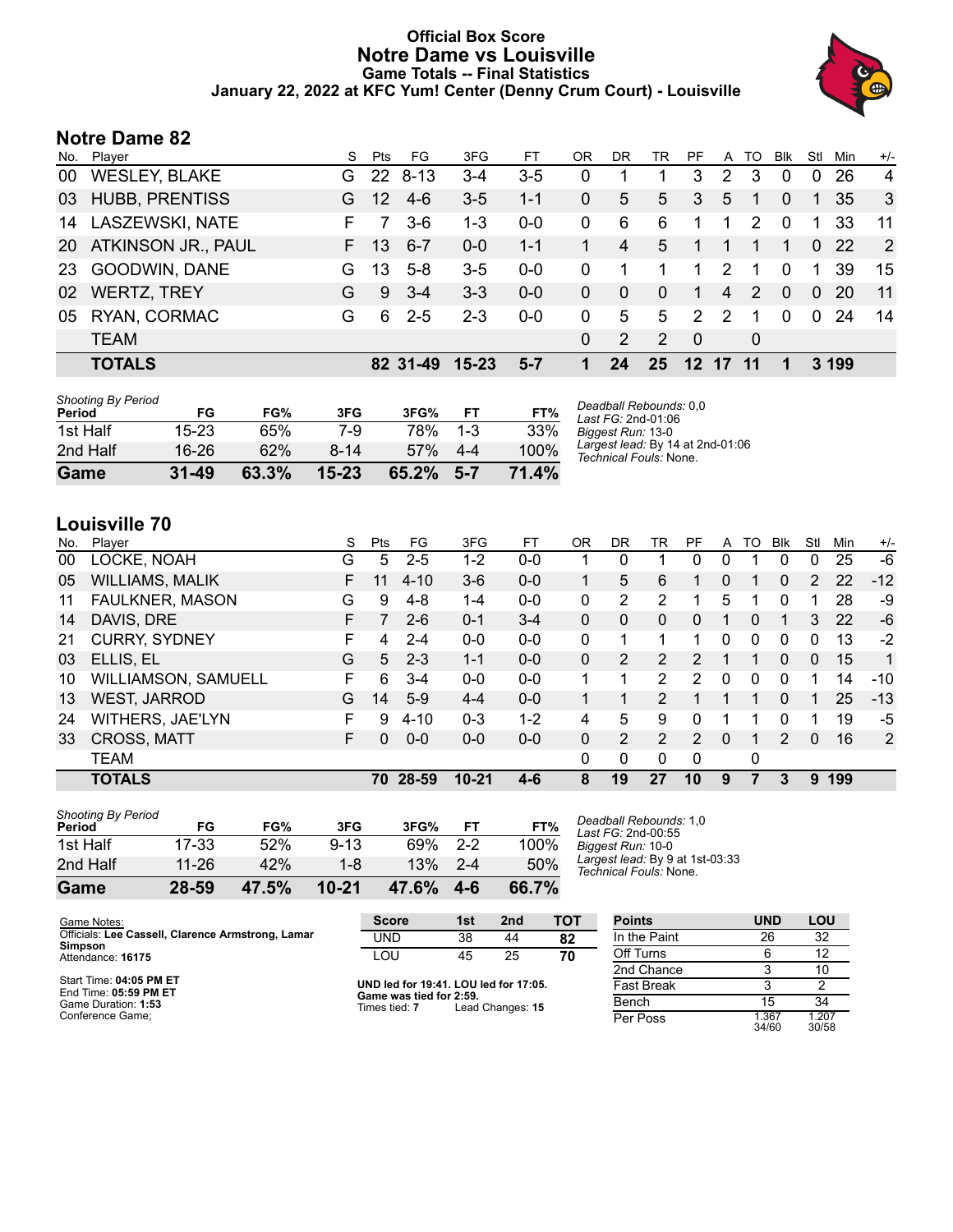### **Official Box Score Notre Dame vs Louisville Game Totals -- Final Statistics January 22, 2022 at KFC Yum! Center (Denny Crum Court) - Louisville**



# **Notre Dame 82**

| Stl<br>$+/-$<br>Min          |
|------------------------------|
| $\overline{4}$<br>26<br>0    |
| -3<br>-35<br>$\overline{1}$  |
| 11<br>- 33<br>$\overline{1}$ |
| $\overline{2}$<br>$0\,22$    |
| 15<br>39<br>1                |
| 11<br>$\Omega$<br><b>20</b>  |
| $\Omega$<br>-24<br>-14       |
|                              |
| 3 199                        |
|                              |

| <b>Shooting By Period</b><br>Period | FG        | FG%   | 3FG       | 3FG%  | FT      | FT%   |
|-------------------------------------|-----------|-------|-----------|-------|---------|-------|
| 1st Half                            | 15-23     | 65%   | 7-9       | 78%   | $1 - 3$ | 33%   |
| 2nd Half                            | 16-26     | 62%   | 8-14      | 57%   | 4-4     | 100%  |
| Game                                | $31 - 49$ | 63.3% | $15 - 23$ | 65.2% | $5 - 7$ | 71.4% |

*Deadball Rebounds:* 0,0 *Last FG:* 2nd-01:06 *Biggest Run:* 13-0 *Largest lead:* By 14 at 2nd-01:06 *Technical Fouls:* None.

# **Louisville 70**

| No. | Player                 | S  | Pts | FG.      | 3FG       | FT      | OR | DR | TR             | PF             | A        | TO | <b>B</b> lk   | Stl      | Min | $+/-$ |
|-----|------------------------|----|-----|----------|-----------|---------|----|----|----------------|----------------|----------|----|---------------|----------|-----|-------|
| 00  | LOCKE, NOAH            | G  | 5   | $2 - 5$  | 1-2       | $0-0$   |    | 0  |                | 0              | 0        |    | 0             | 0        | 25  | $-6$  |
| 05  | <b>WILLIAMS, MALIK</b> | F  |     | $4 - 10$ | $3-6$     | $0 - 0$ |    | 5  | 6              |                | 0        |    | 0             | 2        | 22  | $-12$ |
| 11  | FAULKNER, MASON        | G  | 9   | 4-8      | 1-4       | $0-0$   | 0  | 2  | 2              |                | 5        |    | 0             |          | 28  | -9    |
| 14  | DAVIS, DRE             | F  |     | $2-6$    | $0 - 1$   | $3 - 4$ | 0  | 0  | $\Omega$       | 0              | 1        | 0  |               | 3        | 22  | -6    |
| 21  | <b>CURRY, SYDNEY</b>   | F. | 4   | $2 - 4$  | $0 - 0$   | $0 - 0$ | 0  |    |                |                | 0        | 0  | $\mathbf{0}$  | 0        | 13  | $-2$  |
| 03  | ELLIS, EL              | G  | 5   | $2 - 3$  | $1 - 1$   | $0 - 0$ | 0  | 2  | 2              | $\overline{2}$ | 1        |    | $\Omega$      | $\Omega$ | 15  | 1     |
| 10  | WILLIAMSON, SAMUELL    | F  | 6   | $3 - 4$  | $0 - 0$   | $0 - 0$ |    |    | 2              | 2              | 0        | 0  | 0             |          | 14  | $-10$ |
| 13  | <b>WEST, JARROD</b>    | G  | 14  | $5-9$    | $4 - 4$   | $0 - 0$ |    |    | 2              |                |          |    | $\Omega$      |          | 25  | $-13$ |
| 24  | WITHERS, JAE'LYN       | F  | 9   | 4-10     | $0 - 3$   | $1 - 2$ | 4  | 5  | 9              | 0              |          |    | 0             |          | 19  | -5    |
| 33  | <b>CROSS, MATT</b>     | F. | 0   | $0 - 0$  | $0 - 0$   | $0 - 0$ | 0  | 2  | $\overline{2}$ | $\mathcal{P}$  | $\Omega$ |    | $\mathcal{P}$ | $\Omega$ | 16  | 2     |
|     | <b>TEAM</b>            |    |     |          |           |         | 0  | 0  | $\Omega$       | $\Omega$       |          | 0  |               |          |     |       |
|     | <b>TOTALS</b>          |    | 70  | 28-59    | $10 - 21$ | 4-6     | 8  | 19 | 27             | 10             | 9        |    | З             | 9        | 199 |       |

| Game                                | 28-59 | 47.5% | $10 - 21$ | 47.6% | $4 - 6$ | 66.7% |           |
|-------------------------------------|-------|-------|-----------|-------|---------|-------|-----------|
| 2nd Half                            | 11-26 | 42%   | 1-8       | 13%   | $2 - 4$ | 50%   | La.<br>Te |
| 1st Half                            | 17-33 | 52%   | $9 - 13$  | 69%   | $2 - 2$ | 100%  | Biç       |
| <b>Shooting By Period</b><br>Period | FG    | FG%   | 3FG       | 3FG%  | FТ      | FT%   | De<br>La. |

*Deadball Rebounds:* 1,0 *Last FG:* 2nd-00:55 *Biggest Run:* 10-0 *Largest lead:* By 9 at 1st-03:33 *Technical Fouls:* None.

| Game Notes:                                       | <b>Score</b>                             | 1st | 2 <sub>nd</sub>  | тот               | <b>Points</b> | <b>UND</b>     | LOU            |
|---------------------------------------------------|------------------------------------------|-----|------------------|-------------------|---------------|----------------|----------------|
| Officials: Lee Cassell, Clarence Armstrong, Lamar | UND                                      | 38  | 44               | 82                | In the Paint  | 26             | 32             |
| Simpson<br>Attendance: 16175                      | LOU                                      | 45  | 25               | 70                | Off Turns     |                | 12             |
|                                                   |                                          |     |                  |                   | 2nd Chance    |                | 10             |
| Start Time: 04:05 PM ET<br>End Time: 05:59 PM ET  | UND led for 19:41. LOU led for 17:05.    |     |                  | <b>Fast Break</b> |               |                |                |
| Game Duration: 1:53                               | Game was tied for 2:59.<br>Times tied: 7 |     | Lead Changes: 15 |                   | Bench         | 15             | 34             |
| Conference Game;                                  |                                          |     |                  |                   | Per Poss      | 1.367<br>34/60 | 1.207<br>30/58 |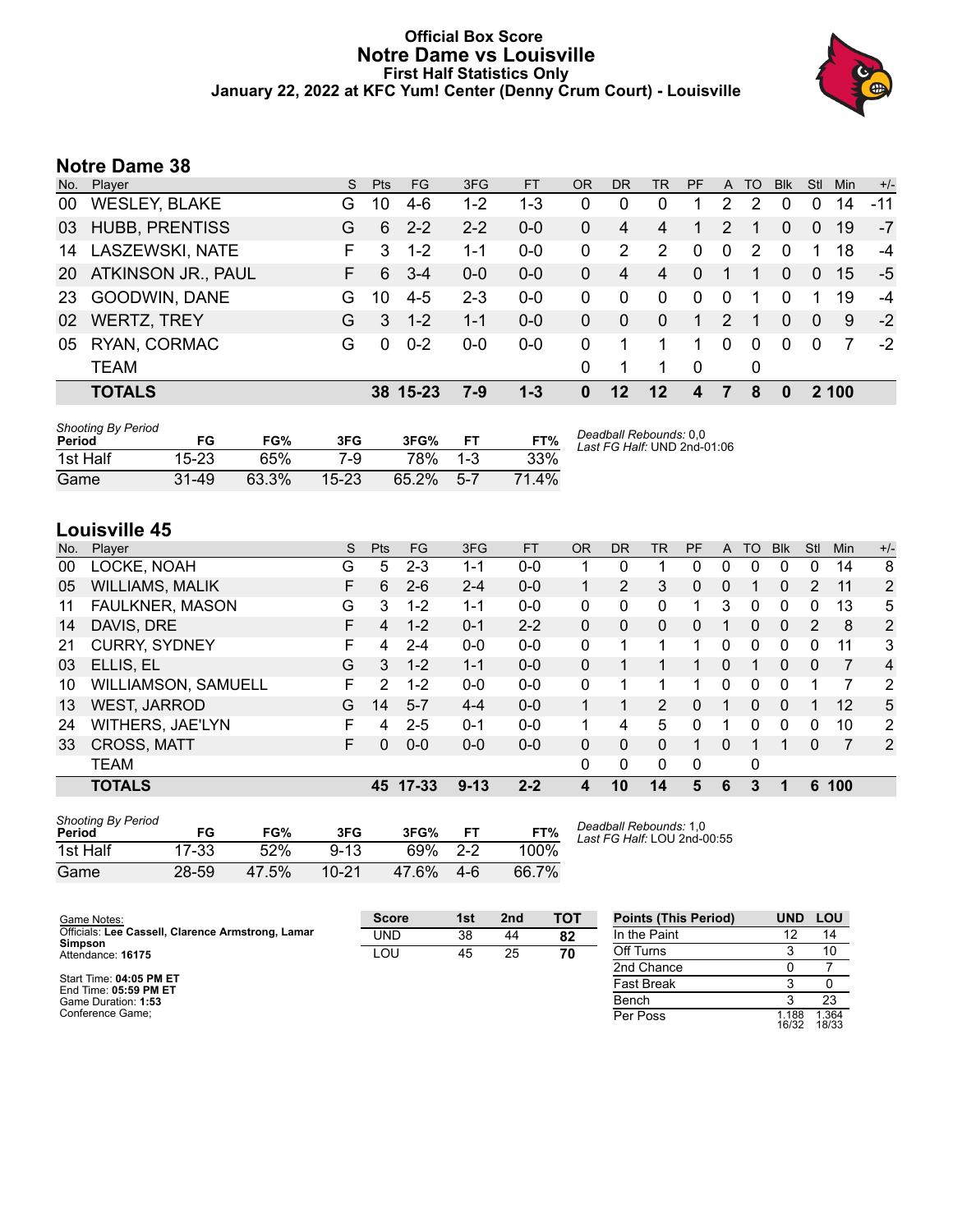#### **Official Box Score Notre Dame vs Louisville First Half Statistics Only January 22, 2022 at KFC Yum! Center (Denny Crum Court) - Louisville**



# **Notre Dame 38**

| Plaver                 | S. | Pts      | FG.     | 3FG      | <b>FT</b> | OR           | <b>DR</b> | <b>TR</b>      | <b>PF</b>   | $\mathsf{A}$ |   | <b>BIK</b> | Stl      | <b>Min</b> | $+/-$ |
|------------------------|----|----------|---------|----------|-----------|--------------|-----------|----------------|-------------|--------------|---|------------|----------|------------|-------|
| <b>WESLEY, BLAKE</b>   | G. | 10       | $4-6$   | 1-2      | 1-3       | 0            | 0         | 0              |             | 2            | 2 | 0          | 0        | 14         | $-11$ |
| <b>HUBB, PRENTISS</b>  | G  | 6        | $2 - 2$ | $2 - 2$  | $0 - 0$   | $\mathbf{0}$ | 4         | 4              | 1           | 2            |   | $\Omega$   | $\Omega$ | 19         | $-7$  |
| <b>LASZEWSKI, NATE</b> | F. | 3        | $1 - 2$ | 1-1      | $0 - 0$   | 0            | 2         | 2              | $\mathbf 0$ | 0            | 2 | $\Omega$   | 1        | 18         | $-4$  |
| ATKINSON JR., PAUL     | F. | 6        | $3 - 4$ | $0 - 0$  | $0 - 0$   | $\mathbf{0}$ | 4         | $\overline{4}$ | $\Omega$    | $\mathbf{1}$ | 1 | $\Omega$   | $\Omega$ | 15         | -5    |
| GOODWIN, DANE          | G  | 10       | $4 - 5$ | $2 - 3$  | $0 - 0$   | 0            | 0         | $\Omega$       | $\Omega$    | $\Omega$     |   | $\Omega$   |          | 19         | -4    |
| <b>WERTZ, TREY</b>     | G  | 3        | $1 - 2$ | $1 - 1$  | $0 - 0$   | $\Omega$     | $\Omega$  | $\Omega$       | 1           | 2            | 1 | $\Omega$   | $\Omega$ | 9          | $-2$  |
| RYAN, CORMAC           | G  | $\Omega$ | $0 - 2$ | $0 - 0$  | $0 - 0$   | 0            | 1         |                | 1           | $\Omega$     | 0 | $\Omega$   | $\Omega$ |            | $-2$  |
| <b>TEAM</b>            |    |          |         |          |           | $\Omega$     | 1         |                | - 0         |              | 0 |            |          |            |       |
| <b>TOTALS</b>          |    |          |         | 7-9      | $1 - 3$   | $\mathbf{0}$ | $12 \,$   | $12 \,$        | 4           |              | 8 | $\bf{0}$   |          |            |       |
|                        |    |          |         | 38 15-23 |           |              |           |                |             |              |   |            | TO       |            | 2 100 |

| <b>Shooting By Period</b><br>Period | FG        | FG%   | 3FG       | 3FG%  | <b>FT</b> | FT%  | Deadball Rebounds: 0.0<br>Last FG Half: UND 2nd-01:06 |
|-------------------------------------|-----------|-------|-----------|-------|-----------|------|-------------------------------------------------------|
| 1st Half                            | 15-23     | 65%   | 7-9       | 78%   | $1 - 3$   | 33%  |                                                       |
| Game                                | $31 - 49$ | 63.3% | $15 - 23$ | 65.2% | $5 - 7$   | 714% |                                                       |

# **Louisville 45**

| No. | Player                 | S  | <b>Pts</b> | FG        | 3FG      | <b>FT</b> | <b>OR</b> | <b>DR</b> | TR           | PF          | A | TO | <b>Blk</b> | Stl      | Min | $+/-$          |
|-----|------------------------|----|------------|-----------|----------|-----------|-----------|-----------|--------------|-------------|---|----|------------|----------|-----|----------------|
| 00  | LOCKE, NOAH            | G  | 5          | $2 - 3$   | 1-1      | $0-0$     |           | 0         |              | 0           | 0 | 0  | 0          | 0        | 14  | 8              |
| 05  | <b>WILLIAMS, MALIK</b> | F  | 6          | $2-6$     | $2 - 4$  | $0 - 0$   |           | 2         | 3            | 0           | 0 | 1  | 0          | 2        | 11  | 2              |
| 11  | FAULKNER, MASON        | G  | 3          | $1 - 2$   | $1 - 1$  | $0 - 0$   | 0         | 0         | 0            |             | 3 | 0  | 0          | 0        | 13  | 5              |
| 14  | DAVIS, DRE             | F. | 4          | $1 - 2$   | $0 - 1$  | $2 - 2$   | 0         | 0         | $\mathbf{0}$ | 0           | 1 | 0  | 0          | 2        | 8   | 2              |
| 21  | <b>CURRY, SYDNEY</b>   | F  | 4          | $2 - 4$   | $0 - 0$  | $0 - 0$   | 0         |           |              |             | 0 | 0  | 0          | 0        | 11  | 3              |
| 03  | ELLIS, EL              | G  | 3          | $1 - 2$   | $1 - 1$  | $0 - 0$   | 0         |           |              |             | 0 |    | 0          | $\Omega$ | 7   | 4              |
| 10  | WILLIAMSON, SAMUELL    | F. | 2          | $1 - 2$   | $0 - 0$  | $0 - 0$   | 0         |           |              |             | 0 | 0  | 0          |          |     | 2              |
| 13  | <b>WEST, JARROD</b>    | G  | 14         | $5 - 7$   | $4 - 4$  | $0 - 0$   |           |           | 2            | 0           |   | 0  | 0          |          | 12  | 5              |
| 24  | WITHERS, JAE'LYN       | F  | 4          | $2 - 5$   | $0 - 1$  | $0 - 0$   | 1         | 4         | 5            | 0           |   | 0  | 0          | 0        | 10  | $\overline{2}$ |
| 33  | CROSS, MATT            | F. | 0          | $0 - 0$   | $0 - 0$  | $0 - 0$   | 0         | 0         | 0            | 1           | 0 |    |            | 0        | 7   | 2              |
|     | <b>TEAM</b>            |    |            |           |          |           | 0         | 0         | 0            | $\mathbf 0$ |   | 0  |            |          |     |                |
|     | <b>TOTALS</b>          |    | 45         | $17 - 33$ | $9 - 13$ | $2 - 2$   | 4         | 10        | 14           | 5           | 6 | 3  | 1          | 6        | 100 |                |

| <b>Shooting By Period</b><br>Period | FG    | FG%   | 3FG       | 3FG%  | FT      | FT%   |
|-------------------------------------|-------|-------|-----------|-------|---------|-------|
| 1st Half                            | 17-33 | 52%   | $9 - 13$  | 69%   | $2 - 2$ | 100%  |
| Game                                | 28-59 | 47.5% | $10 - 21$ | 47.6% | 4-6     | 66.7% |

*Deadball Rebounds:* 1,0 *Last FG Half:* LOU 2nd-00:55

| Game Notes:                                                  | <b>Score</b> | 1st | 2 <sub>nd</sub> | <b>TOT</b> | <b>Points (This Period)</b> | <b>UND</b>     | LOU            |
|--------------------------------------------------------------|--------------|-----|-----------------|------------|-----------------------------|----------------|----------------|
| Officials: Lee Cassell, Clarence Armstrong, Lamar<br>Simpson | <b>UND</b>   | 38  | 44              | 82         | In the Paint                |                | 14             |
| Attendance: 16175                                            | LOU          | 45  | 25              | 70         | Off Turns                   |                |                |
|                                                              |              |     |                 |            | 2nd Chance                  |                |                |
| Start Time: 04:05 PM ET<br>End Time: 05:59 PM ET             |              |     |                 |            | <b>Fast Break</b>           |                |                |
| Game Duration: 1:53                                          |              |     |                 |            | Bench                       |                | 23             |
| Conference Game:                                             |              |     |                 |            | Per Poss                    | 1.188<br>16/32 | 1.364<br>18/33 |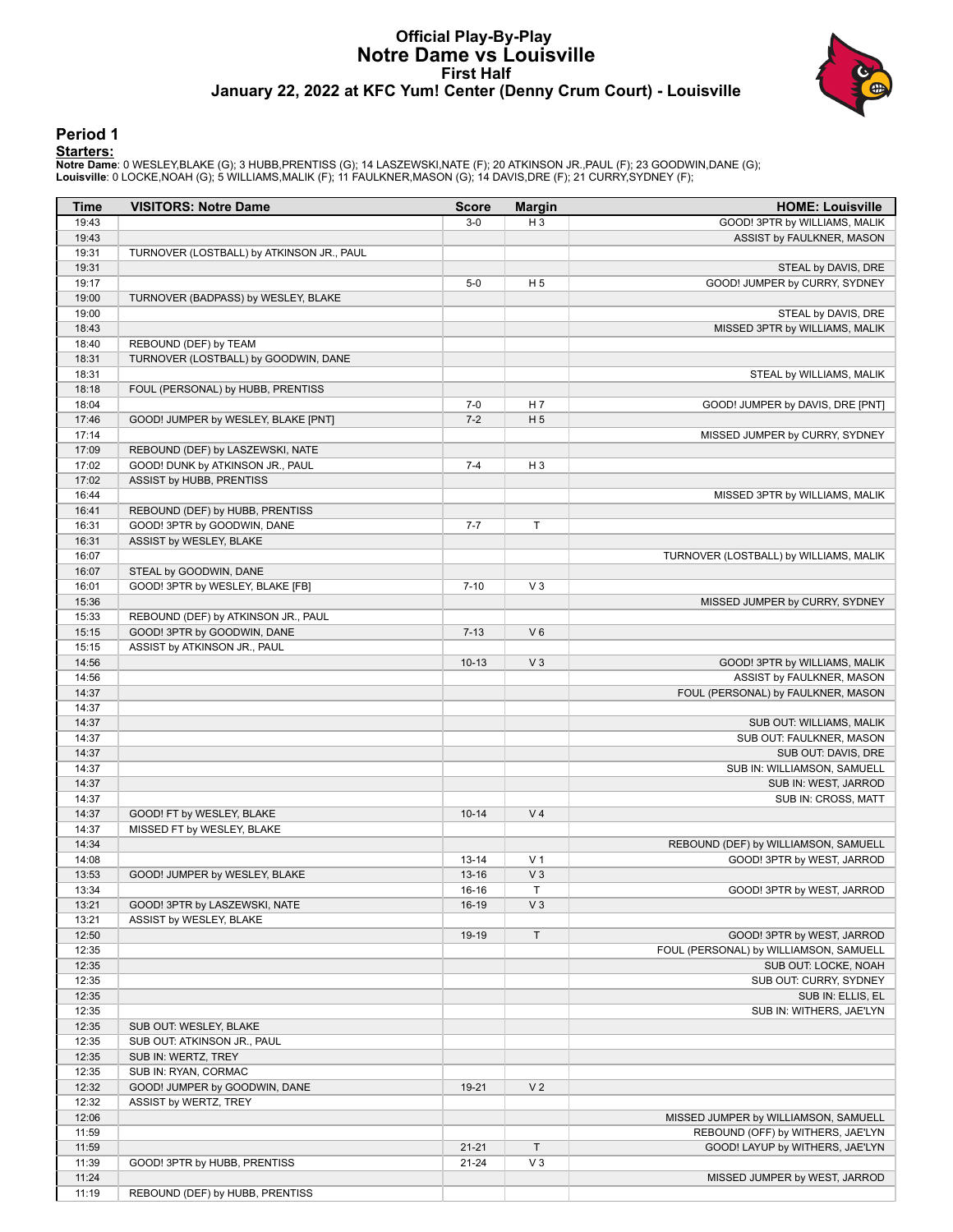### **Official Play-By-Play Notre Dame vs Louisville First Half January 22, 2022 at KFC Yum! Center (Denny Crum Court) - Louisville**



#### **Period 1**

<mark>Startersː</mark><br>Notre Dameː 0 WESLEY,BLAKE (G); 3 HUBB,PRENTISS (G); 14 LASZEWSKI,NATE (F); 20 ATKINSON JR.,PAUL (F); 23 GOODWIN,DANE (G);<br>Louisville: 0 LOCKE,NOAH (G); 5 WILLIAMS,MALIK (F); 11 FAULKNER,MASON (G); 14 DAVIS,DRE

| <b>Time</b>    | <b>VISITORS: Notre Dame</b>                           | <b>Score</b>           | <b>Margin</b>        | <b>HOME: Louisville</b>                |
|----------------|-------------------------------------------------------|------------------------|----------------------|----------------------------------------|
| 19:43          |                                                       | $3-0$                  | $H_3$                | GOOD! 3PTR by WILLIAMS, MALIK          |
| 19:43          |                                                       |                        |                      | ASSIST by FAULKNER, MASON              |
| 19:31          | TURNOVER (LOSTBALL) by ATKINSON JR., PAUL             |                        |                      |                                        |
| 19:31          |                                                       |                        |                      | STEAL by DAVIS, DRE                    |
| 19:17          |                                                       | $5-0$                  | H <sub>5</sub>       | GOOD! JUMPER by CURRY, SYDNEY          |
| 19:00          | TURNOVER (BADPASS) by WESLEY, BLAKE                   |                        |                      |                                        |
| 19:00          |                                                       |                        |                      | STEAL by DAVIS, DRE                    |
| 18:43          |                                                       |                        |                      | MISSED 3PTR by WILLIAMS, MALIK         |
| 18:40          | REBOUND (DEF) by TEAM                                 |                        |                      |                                        |
| 18:31          | TURNOVER (LOSTBALL) by GOODWIN, DANE                  |                        |                      |                                        |
| 18:31          |                                                       |                        |                      | STEAL by WILLIAMS, MALIK               |
| 18:18          | FOUL (PERSONAL) by HUBB, PRENTISS                     |                        |                      |                                        |
| 18:04          |                                                       | $7 - 0$                | H <sub>7</sub>       | GOOD! JUMPER by DAVIS, DRE [PNT]       |
| 17:46          | GOOD! JUMPER by WESLEY, BLAKE [PNT]                   | $7 - 2$                | H <sub>5</sub>       |                                        |
| 17:14          |                                                       |                        |                      | MISSED JUMPER by CURRY, SYDNEY         |
| 17:09          | REBOUND (DEF) by LASZEWSKI, NATE                      |                        |                      |                                        |
| 17:02          | GOOD! DUNK by ATKINSON JR., PAUL                      | $7 - 4$                | $H_3$                |                                        |
| 17:02          | ASSIST by HUBB, PRENTISS                              |                        |                      |                                        |
| 16:44          |                                                       |                        |                      | MISSED 3PTR by WILLIAMS, MALIK         |
| 16:41          | REBOUND (DEF) by HUBB, PRENTISS                       |                        |                      |                                        |
| 16:31          | GOOD! 3PTR by GOODWIN, DANE                           | $7 - 7$                | T                    |                                        |
| 16:31          | ASSIST by WESLEY, BLAKE                               |                        |                      |                                        |
| 16:07          |                                                       |                        |                      | TURNOVER (LOSTBALL) by WILLIAMS, MALIK |
| 16:07          | STEAL by GOODWIN, DANE                                |                        |                      |                                        |
| 16:01          | GOOD! 3PTR by WESLEY, BLAKE [FB]                      | $7 - 10$               | $V_3$                |                                        |
| 15:36          |                                                       |                        |                      | MISSED JUMPER by CURRY, SYDNEY         |
| 15:33          | REBOUND (DEF) by ATKINSON JR., PAUL                   |                        |                      |                                        |
| 15:15          | GOOD! 3PTR by GOODWIN, DANE                           | $7 - 13$               | $V_6$                |                                        |
| 15:15          | ASSIST by ATKINSON JR., PAUL                          |                        |                      |                                        |
| 14:56          |                                                       | $10-13$                | V <sub>3</sub>       | GOOD! 3PTR by WILLIAMS, MALIK          |
| 14:56          |                                                       |                        |                      | ASSIST by FAULKNER, MASON              |
| 14:37          |                                                       |                        |                      | FOUL (PERSONAL) by FAULKNER, MASON     |
| 14:37          |                                                       |                        |                      |                                        |
| 14:37          |                                                       |                        |                      | SUB OUT: WILLIAMS, MALIK               |
| 14:37          |                                                       |                        |                      | SUB OUT: FAULKNER, MASON               |
| 14:37          |                                                       |                        |                      | SUB OUT: DAVIS, DRE                    |
| 14:37          |                                                       |                        |                      | SUB IN: WILLIAMSON, SAMUELL            |
| 14:37          |                                                       |                        |                      | SUB IN: WEST, JARROD                   |
| 14:37          |                                                       |                        |                      | SUB IN: CROSS, MATT                    |
| 14:37          | GOOD! FT by WESLEY, BLAKE                             | $10 - 14$              | V <sub>4</sub>       |                                        |
| 14:37          | MISSED FT by WESLEY, BLAKE                            |                        |                      |                                        |
| 14:34          |                                                       |                        |                      | REBOUND (DEF) by WILLIAMSON, SAMUELL   |
| 14:08          |                                                       | $13 - 14$              | V <sub>1</sub>       | GOOD! 3PTR by WEST, JARROD             |
| 13:53          | GOOD! JUMPER by WESLEY, BLAKE                         | $13 - 16$              | $V_3$                |                                        |
| 13:34          |                                                       | $16-16$                | T.                   | GOOD! 3PTR by WEST, JARROD             |
| 13:21          | GOOD! 3PTR by LASZEWSKI, NATE                         | 16-19                  | $V_3$                |                                        |
| 13:21          | ASSIST by WESLEY, BLAKE                               |                        | $\top$               |                                        |
| 12:50          |                                                       | 19-19                  |                      | GOOD! 3PTR by WEST, JARROD             |
| 12:35          |                                                       |                        |                      | FOUL (PERSONAL) by WILLIAMSON, SAMUELL |
| 12:35          |                                                       |                        |                      | SUB OUT: LOCKE, NOAH                   |
| 12:35          |                                                       |                        |                      | SUB OUT: CURRY, SYDNEY                 |
| 12:35          |                                                       |                        |                      | SUB IN: ELLIS, EL                      |
| 12:35<br>12:35 |                                                       |                        |                      | SUB IN: WITHERS, JAE'LYN               |
| 12:35          | SUB OUT: WESLEY, BLAKE<br>SUB OUT: ATKINSON JR., PAUL |                        |                      |                                        |
| 12:35          | SUB IN: WERTZ, TREY                                   |                        |                      |                                        |
| 12:35          | SUB IN: RYAN, CORMAC                                  |                        |                      |                                        |
| 12:32          |                                                       | 19-21                  | V <sub>2</sub>       |                                        |
|                | GOOD! JUMPER by GOODWIN, DANE                         |                        |                      |                                        |
| 12:32          | ASSIST by WERTZ, TREY                                 |                        |                      |                                        |
| 12:06          |                                                       |                        |                      | MISSED JUMPER by WILLIAMSON, SAMUELL   |
| 11:59          |                                                       |                        |                      | REBOUND (OFF) by WITHERS, JAE'LYN      |
| 11:59<br>11:39 | GOOD! 3PTR by HUBB, PRENTISS                          | $21 - 21$<br>$21 - 24$ | $\mathsf T$<br>$V_3$ | GOOD! LAYUP by WITHERS, JAE'LYN        |
| 11:24          |                                                       |                        |                      | MISSED JUMPER by WEST, JARROD          |
| 11:19          | REBOUND (DEF) by HUBB, PRENTISS                       |                        |                      |                                        |
|                |                                                       |                        |                      |                                        |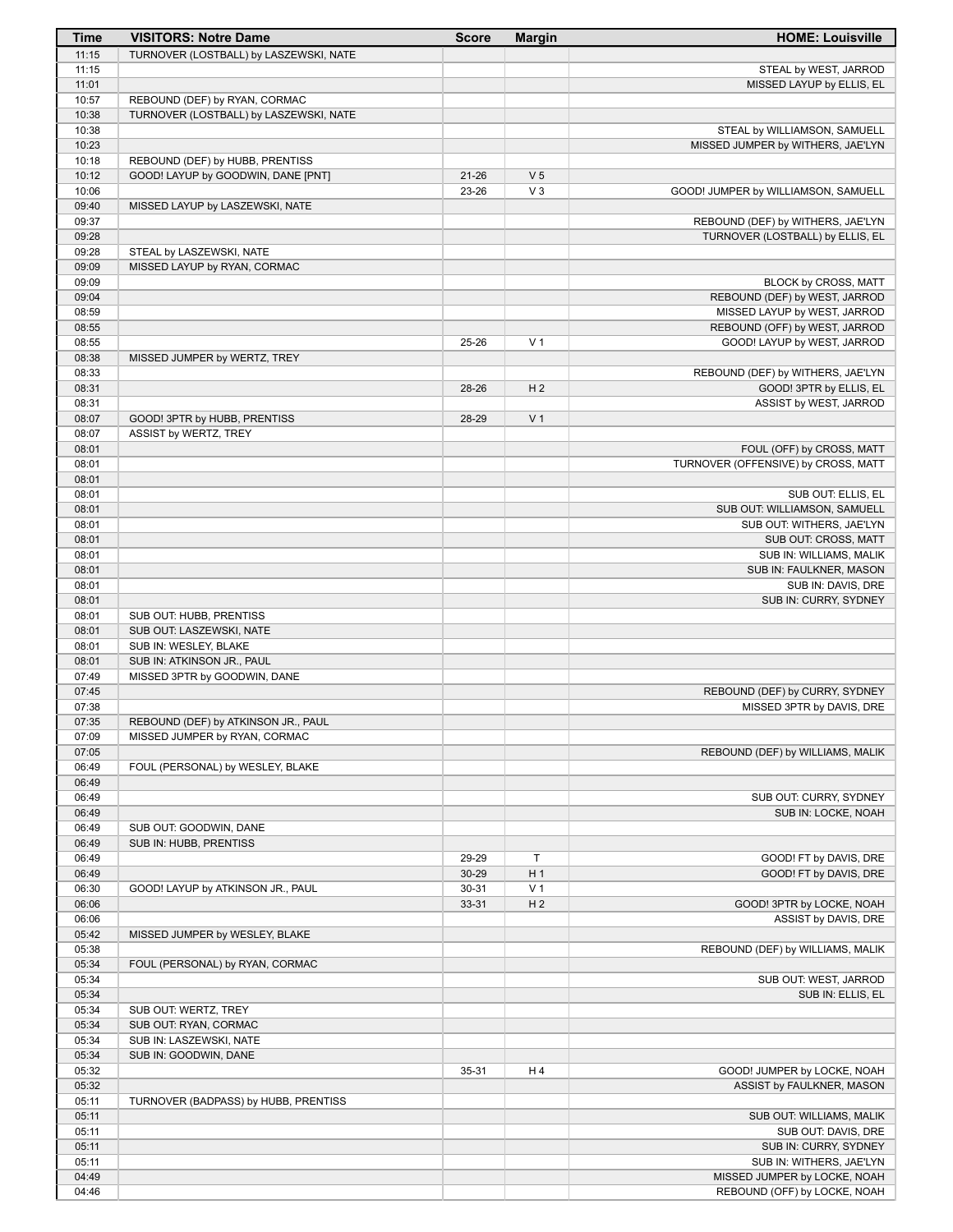| Time           | <b>VISITORS: Notre Dame</b>                   | <b>Score</b> | <b>Margin</b>  | <b>HOME: Louisville</b>                     |
|----------------|-----------------------------------------------|--------------|----------------|---------------------------------------------|
| 11:15          | TURNOVER (LOSTBALL) by LASZEWSKI, NATE        |              |                |                                             |
| 11:15          |                                               |              |                | STEAL by WEST, JARROD                       |
| 11:01          |                                               |              |                | MISSED LAYUP by ELLIS, EL                   |
| 10:57          | REBOUND (DEF) by RYAN, CORMAC                 |              |                |                                             |
| 10:38          | TURNOVER (LOSTBALL) by LASZEWSKI, NATE        |              |                |                                             |
| 10:38<br>10:23 |                                               |              |                | STEAL by WILLIAMSON, SAMUELL                |
| 10:18          | REBOUND (DEF) by HUBB, PRENTISS               |              |                | MISSED JUMPER by WITHERS, JAE'LYN           |
| 10:12          | GOOD! LAYUP by GOODWIN, DANE [PNT]            | $21 - 26$    | V <sub>5</sub> |                                             |
| 10:06          |                                               | 23-26        | $V_3$          | GOOD! JUMPER by WILLIAMSON, SAMUELL         |
| 09:40          | MISSED LAYUP by LASZEWSKI, NATE               |              |                |                                             |
| 09:37          |                                               |              |                | REBOUND (DEF) by WITHERS, JAE'LYN           |
| 09:28          |                                               |              |                | TURNOVER (LOSTBALL) by ELLIS, EL            |
| 09:28          | STEAL by LASZEWSKI, NATE                      |              |                |                                             |
| 09:09          | MISSED LAYUP by RYAN, CORMAC                  |              |                |                                             |
| 09:09          |                                               |              |                | BLOCK by CROSS, MATT                        |
| 09:04          |                                               |              |                | REBOUND (DEF) by WEST, JARROD               |
| 08:59          |                                               |              |                | MISSED LAYUP by WEST, JARROD                |
| 08:55          |                                               |              |                | REBOUND (OFF) by WEST, JARROD               |
| 08:55          |                                               | 25-26        | V <sub>1</sub> | GOOD! LAYUP by WEST, JARROD                 |
| 08:38<br>08:33 | MISSED JUMPER by WERTZ, TREY                  |              |                | REBOUND (DEF) by WITHERS, JAE'LYN           |
| 08:31          |                                               | 28-26        | H <sub>2</sub> | GOOD! 3PTR by ELLIS, EL                     |
| 08:31          |                                               |              |                | ASSIST by WEST, JARROD                      |
| 08:07          | GOOD! 3PTR by HUBB, PRENTISS                  | 28-29        | V <sub>1</sub> |                                             |
| 08:07          | ASSIST by WERTZ, TREY                         |              |                |                                             |
| 08:01          |                                               |              |                | FOUL (OFF) by CROSS, MATT                   |
| 08:01          |                                               |              |                | TURNOVER (OFFENSIVE) by CROSS, MATT         |
| 08:01          |                                               |              |                |                                             |
| 08:01          |                                               |              |                | SUB OUT: ELLIS, EL                          |
| 08:01          |                                               |              |                | SUB OUT: WILLIAMSON, SAMUELL                |
| 08:01          |                                               |              |                | SUB OUT: WITHERS, JAE'LYN                   |
| 08:01          |                                               |              |                | SUB OUT: CROSS, MATT                        |
| 08:01          |                                               |              |                | SUB IN: WILLIAMS, MALIK                     |
| 08:01<br>08:01 |                                               |              |                | SUB IN: FAULKNER, MASON                     |
| 08:01          |                                               |              |                | SUB IN: DAVIS, DRE<br>SUB IN: CURRY, SYDNEY |
| 08:01          | SUB OUT: HUBB, PRENTISS                       |              |                |                                             |
| 08:01          | SUB OUT: LASZEWSKI, NATE                      |              |                |                                             |
| 08:01          | SUB IN: WESLEY, BLAKE                         |              |                |                                             |
| 08:01          | SUB IN: ATKINSON JR., PAUL                    |              |                |                                             |
| 07:49          | MISSED 3PTR by GOODWIN, DANE                  |              |                |                                             |
| 07:45          |                                               |              |                | REBOUND (DEF) by CURRY, SYDNEY              |
| 07:38          |                                               |              |                | MISSED 3PTR by DAVIS, DRE                   |
| 07:35          | REBOUND (DEF) by ATKINSON JR., PAUL           |              |                |                                             |
| 07:09          | MISSED JUMPER by RYAN, CORMAC                 |              |                |                                             |
| 07:05          |                                               |              |                | REBOUND (DEF) by WILLIAMS, MALIK            |
| 06:49<br>06:49 | FOUL (PERSONAL) by WESLEY, BLAKE              |              |                |                                             |
| 06:49          |                                               |              |                | SUB OUT: CURRY, SYDNEY                      |
| 06:49          |                                               |              |                | SUB IN: LOCKE, NOAH                         |
| 06:49          | SUB OUT: GOODWIN, DANE                        |              |                |                                             |
| 06:49          | SUB IN: HUBB, PRENTISS                        |              |                |                                             |
| 06:49          |                                               | 29-29        | T              | GOOD! FT by DAVIS, DRE                      |
| 06:49          |                                               | 30-29        | H <sub>1</sub> | GOOD! FT by DAVIS, DRE                      |
| 06:30          | GOOD! LAYUP by ATKINSON JR., PAUL             | $30 - 31$    | V <sub>1</sub> |                                             |
| 06:06          |                                               | 33-31        | H <sub>2</sub> | GOOD! 3PTR by LOCKE, NOAH                   |
| 06:06          |                                               |              |                | ASSIST by DAVIS, DRE                        |
| 05:42          | MISSED JUMPER by WESLEY, BLAKE                |              |                |                                             |
| 05:38          |                                               |              |                | REBOUND (DEF) by WILLIAMS, MALIK            |
| 05:34          | FOUL (PERSONAL) by RYAN, CORMAC               |              |                |                                             |
| 05:34          |                                               |              |                | SUB OUT: WEST, JARROD                       |
| 05:34          |                                               |              |                | SUB IN: ELLIS, EL                           |
| 05:34<br>05:34 | SUB OUT: WERTZ, TREY<br>SUB OUT: RYAN, CORMAC |              |                |                                             |
| 05:34          | SUB IN: LASZEWSKI, NATE                       |              |                |                                             |
| 05:34          | SUB IN: GOODWIN, DANE                         |              |                |                                             |
| 05:32          |                                               | 35-31        | H4             | GOOD! JUMPER by LOCKE, NOAH                 |
| 05:32          |                                               |              |                | ASSIST by FAULKNER, MASON                   |
| 05:11          | TURNOVER (BADPASS) by HUBB, PRENTISS          |              |                |                                             |
| 05:11          |                                               |              |                | SUB OUT: WILLIAMS, MALIK                    |
| 05:11          |                                               |              |                | SUB OUT: DAVIS, DRE                         |
| 05:11          |                                               |              |                | SUB IN: CURRY, SYDNEY                       |
| 05:11          |                                               |              |                | SUB IN: WITHERS, JAE'LYN                    |
| 04:49          |                                               |              |                | MISSED JUMPER by LOCKE, NOAH                |
| 04:46          |                                               |              |                | REBOUND (OFF) by LOCKE, NOAH                |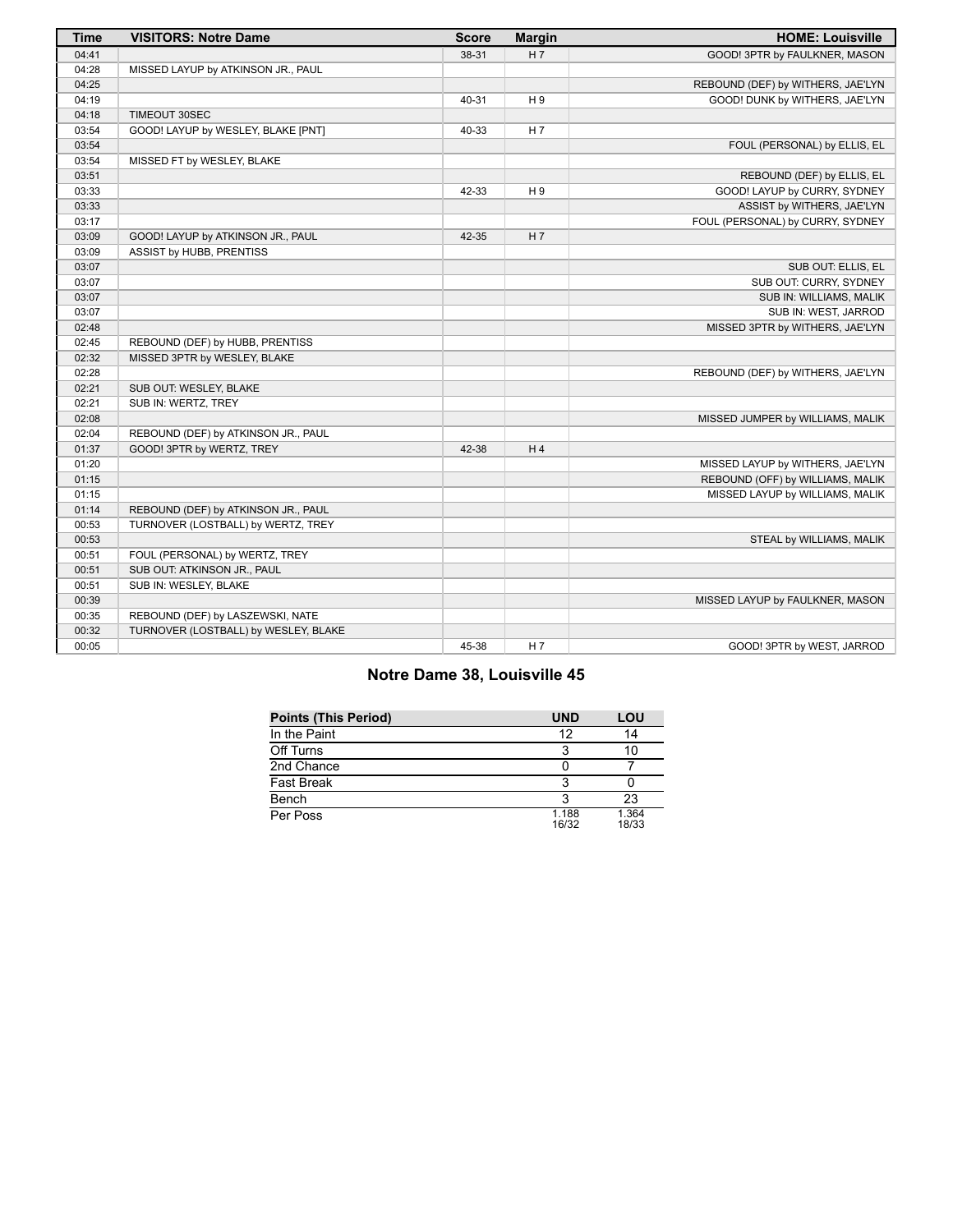| <b>Time</b> | <b>VISITORS: Notre Dame</b>          | <b>Score</b> | <b>Margin</b>  | <b>HOME: Louisville</b>           |
|-------------|--------------------------------------|--------------|----------------|-----------------------------------|
| 04:41       |                                      | 38-31        | H <sub>7</sub> | GOOD! 3PTR by FAULKNER, MASON     |
| 04:28       | MISSED LAYUP by ATKINSON JR., PAUL   |              |                |                                   |
| 04:25       |                                      |              |                | REBOUND (DEF) by WITHERS, JAE'LYN |
| 04:19       |                                      | 40-31        | H <sub>9</sub> | GOOD! DUNK by WITHERS, JAE'LYN    |
| 04:18       | TIMEOUT 30SEC                        |              |                |                                   |
| 03:54       | GOOD! LAYUP by WESLEY, BLAKE [PNT]   | 40-33        | H 7            |                                   |
| 03:54       |                                      |              |                | FOUL (PERSONAL) by ELLIS, EL      |
| 03:54       | MISSED FT by WESLEY, BLAKE           |              |                |                                   |
| 03:51       |                                      |              |                | REBOUND (DEF) by ELLIS, EL        |
| 03:33       |                                      | 42-33        | H <sub>9</sub> | GOOD! LAYUP by CURRY, SYDNEY      |
| 03:33       |                                      |              |                | ASSIST by WITHERS, JAE'LYN        |
| 03:17       |                                      |              |                | FOUL (PERSONAL) by CURRY, SYDNEY  |
| 03:09       | GOOD! LAYUP by ATKINSON JR., PAUL    | 42-35        | H 7            |                                   |
| 03:09       | ASSIST by HUBB, PRENTISS             |              |                |                                   |
| 03:07       |                                      |              |                | SUB OUT: ELLIS, EL                |
| 03:07       |                                      |              |                | SUB OUT: CURRY, SYDNEY            |
| 03:07       |                                      |              |                | SUB IN: WILLIAMS, MALIK           |
| 03:07       |                                      |              |                | SUB IN: WEST, JARROD              |
| 02:48       |                                      |              |                | MISSED 3PTR by WITHERS, JAE'LYN   |
| 02:45       | REBOUND (DEF) by HUBB, PRENTISS      |              |                |                                   |
| 02:32       | MISSED 3PTR by WESLEY, BLAKE         |              |                |                                   |
| 02:28       |                                      |              |                | REBOUND (DEF) by WITHERS, JAE'LYN |
| 02:21       | SUB OUT: WESLEY, BLAKE               |              |                |                                   |
| 02:21       | SUB IN: WERTZ, TREY                  |              |                |                                   |
| 02:08       |                                      |              |                | MISSED JUMPER by WILLIAMS, MALIK  |
| 02:04       | REBOUND (DEF) by ATKINSON JR., PAUL  |              |                |                                   |
| 01:37       | GOOD! 3PTR by WERTZ, TREY            | 42-38        | H <sub>4</sub> |                                   |
| 01:20       |                                      |              |                | MISSED LAYUP by WITHERS, JAE'LYN  |
| 01:15       |                                      |              |                | REBOUND (OFF) by WILLIAMS, MALIK  |
| 01:15       |                                      |              |                | MISSED LAYUP by WILLIAMS, MALIK   |
| 01:14       | REBOUND (DEF) by ATKINSON JR., PAUL  |              |                |                                   |
| 00:53       | TURNOVER (LOSTBALL) by WERTZ, TREY   |              |                |                                   |
| 00:53       |                                      |              |                | STEAL by WILLIAMS, MALIK          |
| 00:51       | FOUL (PERSONAL) by WERTZ, TREY       |              |                |                                   |
| 00:51       | SUB OUT: ATKINSON JR., PAUL          |              |                |                                   |
| 00:51       | SUB IN: WESLEY, BLAKE                |              |                |                                   |
| 00:39       |                                      |              |                | MISSED LAYUP by FAULKNER, MASON   |
| 00:35       | REBOUND (DEF) by LASZEWSKI, NATE     |              |                |                                   |
| 00:32       | TURNOVER (LOSTBALL) by WESLEY, BLAKE |              |                |                                   |
| 00:05       |                                      | 45-38        | H 7            | GOOD! 3PTR by WEST, JARROD        |

# **Notre Dame 38, Louisville 45**

| <b>Points (This Period)</b> | <b>UND</b>     | LOU            |
|-----------------------------|----------------|----------------|
| In the Paint                | 12             | 14             |
| Off Turns                   | 3              | 10             |
| 2nd Chance                  |                |                |
| <b>Fast Break</b>           | 3              |                |
| Bench                       | ิว             | 23             |
| Per Poss                    | 1.188<br>16/32 | 1.364<br>18/33 |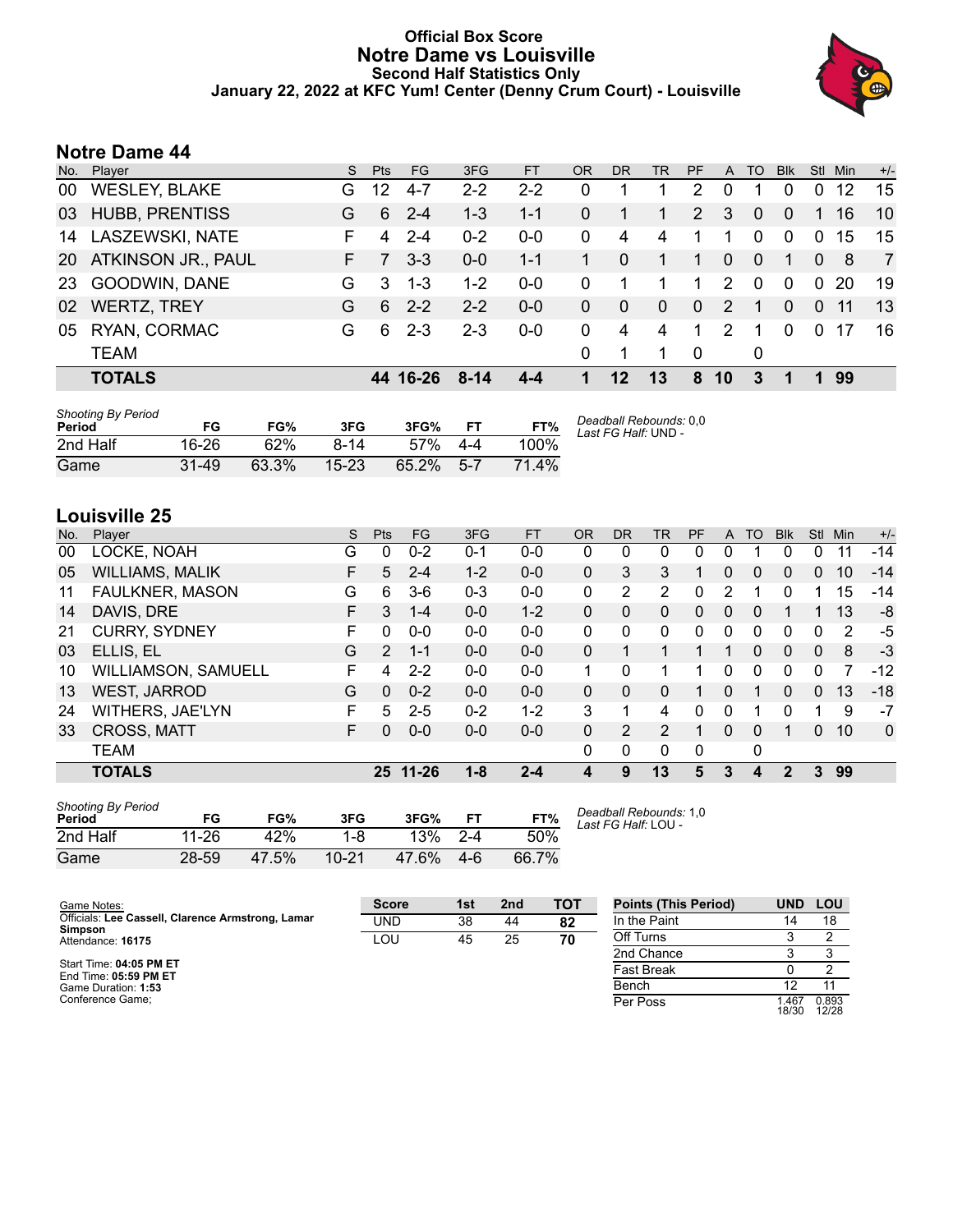### **Official Box Score Notre Dame vs Louisville Second Half Statistics Only January 22, 2022 at KFC Yum! Center (Denny Crum Court) - Louisville**



## **Notre Dame 44**

| No.       | Player                 | S. | <b>Pts</b> | FG.      | 3FG      | <b>FT</b> | <b>OR</b>    | <b>DR</b>    | TR       | <b>PF</b>      | A        | TO       | <b>Blk</b>   | <b>Stl</b>  | Min | $+/-$          |
|-----------|------------------------|----|------------|----------|----------|-----------|--------------|--------------|----------|----------------|----------|----------|--------------|-------------|-----|----------------|
| 00        | <b>WESLEY, BLAKE</b>   | G. | 12         | 4-7      | $2 - 2$  | $2 - 2$   | 0            |              |          | 2              | $\Omega$ |          | $\Omega$     | $\Omega$    | 12  | 15             |
| 03        | <b>HUBB, PRENTISS</b>  | G  | 6          | $2 - 4$  | $1 - 3$  | $1 - 1$   | 0            |              | 1        | 2              | 3        | $\Omega$ | $\mathbf{0}$ |             | 16  | 10             |
| 14        | <b>LASZEWSKI, NATE</b> | F. | 4          | $2 - 4$  | $0 - 2$  | $0 - 0$   | 0            | 4            | 4        | 1              | 1        | $\Omega$ | $\Omega$     | $\mathbf 0$ | 15  | 15             |
| <b>20</b> | ATKINSON JR., PAUL     | F. |            | $3 - 3$  | $0 - 0$  | $1 - 1$   |              | $\mathbf{0}$ | 1        | 1              | $\Omega$ | $\Omega$ | 1            | $\Omega$    | -8  | $\overline{7}$ |
| -23       | GOODWIN, DANE          | G  | 3          | $1 - 3$  | $1 - 2$  | $0 - 0$   | 0            | 1            |          | 1.             | 2        | $\Omega$ | $\Omega$     | 0           | -20 | 19             |
| 02        | <b>WERTZ, TREY</b>     | G  | 6          | $2 - 2$  | $2 - 2$  | $0-0$     | $\mathbf{0}$ | $\mathbf{0}$ | $\Omega$ | $\mathbf{0}$   | 2        | 1        | $\Omega$     | $\Omega$    | -11 | 13             |
| 05        | RYAN, CORMAC           | G  | 6          | $2 - 3$  | $2 - 3$  | $0 - 0$   | 0            | 4            | 4        | 1              | 2        |          | $\Omega$     | $\Omega$    |     | 16             |
|           | <b>TEAM</b>            |    |            |          |          |           | $\Omega$     |              |          | $\overline{0}$ |          | 0        |              |             |     |                |
|           | <b>TOTALS</b>          |    |            | 44 16-26 | $8 - 14$ | $4 - 4$   | 1            | 12           | 13       | 8              | 10       | 3        |              |             | 99  |                |

| <b>Shooting By Period</b><br>Period | FG        | FG%   | 3FG       | 3FG%     |         | FT%         | Deadball Rebounds: 0,0<br>Last FG Half: UND - |
|-------------------------------------|-----------|-------|-----------|----------|---------|-------------|-----------------------------------------------|
| 2nd Half                            | 16-26     | 62%   | $8-14$    | $.57\%$  | 4-4     | 100%        |                                               |
| Game                                | $31 - 49$ | 63.3% | $15 - 23$ | $65.2\%$ | $5 - 7$ | $4\%$<br>71 |                                               |

# **Louisville 25**

| No. | Player                 | S  | <b>Pts</b> | <b>FG</b> | 3FG     | <b>FT</b> | <b>OR</b>    | DR.            | <b>TR</b>      | <b>PF</b> | A            | TO       | <b>BIK</b> | <b>Stl</b>   | Min | $+/-$        |
|-----|------------------------|----|------------|-----------|---------|-----------|--------------|----------------|----------------|-----------|--------------|----------|------------|--------------|-----|--------------|
| 00  | LOCKE, NOAH            | G  | 0          | $0 - 2$   | $0 - 1$ | $0-0$     | 0            | 0              | 0              | 0         | 0            |          | 0          | 0            | 11  | $-14$        |
| 05  | <b>WILLIAMS, MALIK</b> | F  | 5          | $2 - 4$   | $1 - 2$ | $0 - 0$   | $\mathbf{0}$ | 3              | 3              |           | $\mathbf{0}$ | 0        | 0          | $\Omega$     | 10  | $-14$        |
| 11  | <b>FAULKNER, MASON</b> | G  | 6          | $3-6$     | $0 - 3$ | $0-0$     | 0            | 2              | 2              | 0         | 2            |          | 0          |              | 15  | -14          |
| 14  | DAVIS, DRE             | F  | 3          | $1 - 4$   | $0 - 0$ | $1 - 2$   | $\mathbf{0}$ | $\mathbf{0}$   | 0              | 0         | $\mathbf{0}$ | 0        |            |              | 13  | -8           |
| 21  | <b>CURRY, SYDNEY</b>   | F  | $\Omega$   | $0 - 0$   | $0 - 0$ | $0 - 0$   | $\mathbf{0}$ | 0              | 0              | 0         | $\mathbf 0$  | $\Omega$ | 0          | $\mathbf 0$  | 2   | -5           |
| 03  | ELLIS, EL              | G  | 2          | $1 - 1$   | $0 - 0$ | $0 - 0$   | $\Omega$     |                |                |           |              | 0        | 0          | $\mathbf{0}$ | 8   | $-3$         |
| 10  | WILLIAMSON, SAMUELL    | F  | 4          | $2 - 2$   | $0 - 0$ | $0 - 0$   | 1            | 0              | 1              |           | 0            | 0        | 0          | 0            | 7   | $-12$        |
| 13  | <b>WEST, JARROD</b>    | G  | 0          | $0 - 2$   | $0 - 0$ | $0 - 0$   | $\Omega$     | $\Omega$       | 0              | 1         | $\Omega$     | 1        | 0          | $\Omega$     | 13  | $-18$        |
| 24  | WITHERS, JAE'LYN       | F. | 5          | $2 - 5$   | $0 - 2$ | $1 - 2$   | 3            | 1              | 4              | 0         | $\mathbf 0$  |          | 0          |              | 9   | $-7$         |
| 33  | <b>CROSS, MATT</b>     | F  | 0          | $0 - 0$   | $0-0$   | $0 - 0$   | $\mathbf{0}$ | $\overline{2}$ | $\overline{2}$ |           | $\mathbf{0}$ | 0        | 1          | $\mathbf{0}$ | 10  | $\mathbf{0}$ |
|     | <b>TEAM</b>            |    |            |           |         |           | 0            | 0              | 0              | 0         |              | 0        |            |              |     |              |
|     | <b>TOTALS</b>          |    |            | 25 11-26  | $1 - 8$ | $2 - 4$   | 4            | 9              | 13             | 5         | 3            | 4        | 2          | 3            | 99  |              |
|     | Chastine Du Devisel    |    |            |           |         |           |              |                |                |           |              |          |            |              |     |              |

| Shooting By Period<br>Period | FG    | FG%   | 3FG       | 3FG%  | FТ      | FT%   |
|------------------------------|-------|-------|-----------|-------|---------|-------|
| 2nd Half                     | 11-26 | 42%   | $1 - 8$   | 13%   | $2 - 4$ | 50%   |
| Game                         | 28-59 | 47.5% | $10 - 21$ | 47.6% | $4-6$   | 66.7% |

*Deadball Rebounds:* 1,0 *Last FG Half:* LOU -

| Game Notes:                                                  | <b>Score</b> | 1st | 2 <sub>nd</sub> | <b>TOT</b> | <b>Points (This Period)</b> | <b>UND</b>    | LOU            |
|--------------------------------------------------------------|--------------|-----|-----------------|------------|-----------------------------|---------------|----------------|
| Officials: Lee Cassell, Clarence Armstrong, Lamar<br>Simpson | <b>UND</b>   | 38  | 44              | 82         | In the Paint                |               | 18             |
| Attendance: 16175                                            | LOU          | 45  | 25              | 70         | Off Turns                   |               |                |
|                                                              |              |     |                 |            | 2nd Chance                  |               |                |
| Start Time: 04:05 PM ET<br>End Time: 05:59 PM ET             |              |     |                 |            | <b>Fast Break</b>           |               |                |
| Game Duration: 1:53                                          |              |     |                 |            | Bench                       |               | 11             |
| Conference Game:                                             |              |     |                 |            | Per Poss                    | .467<br>18/30 | 0.893<br>12/28 |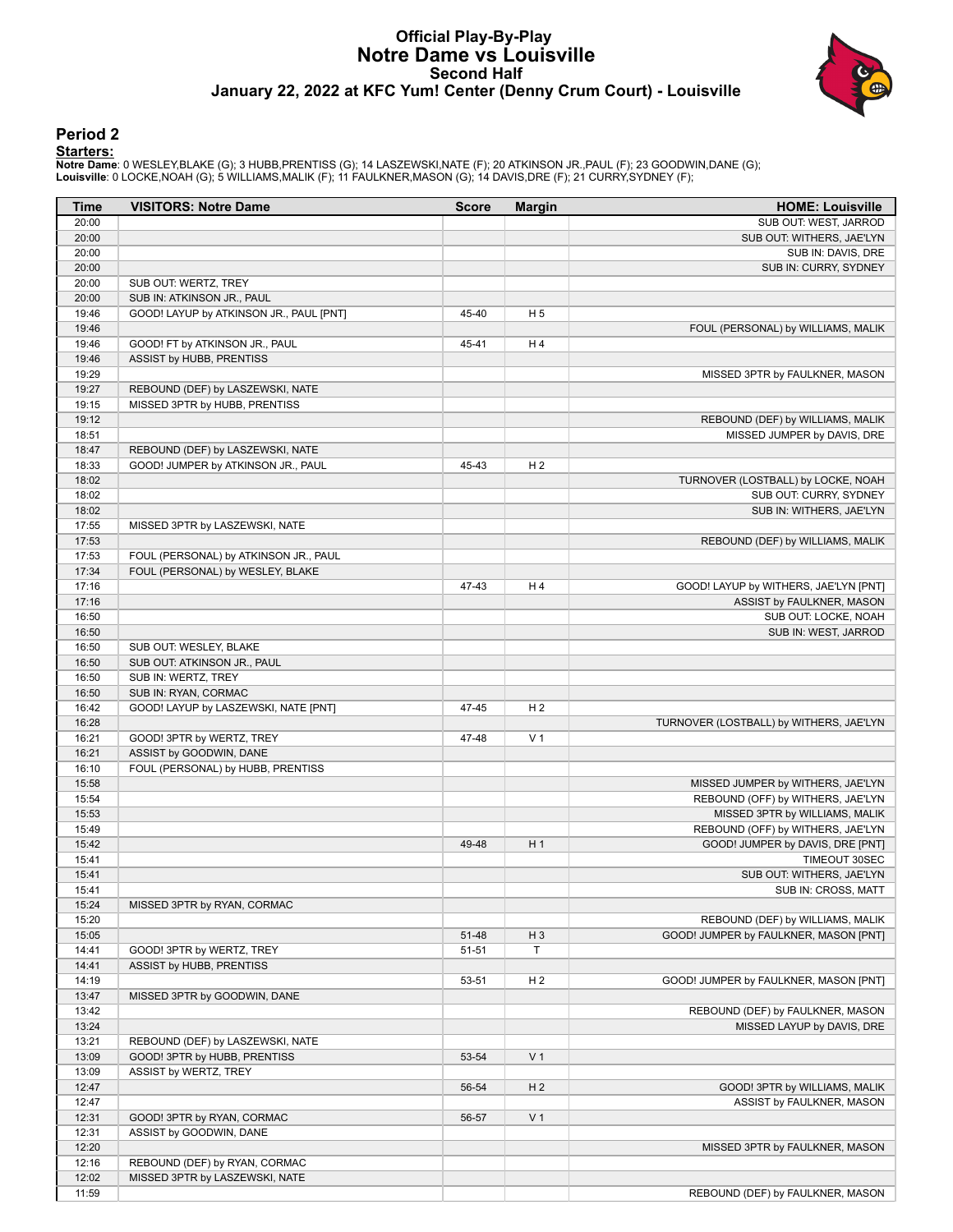#### **Official Play-By-Play Notre Dame vs Louisville Second Half January 22, 2022 at KFC Yum! Center (Denny Crum Court) - Louisville**



#### **Period 2**

<mark>Startersː</mark><br>Notre Dameː 0 WESLEY,BLAKE (G); 3 HUBB,PRENTISS (G); 14 LASZEWSKI,NATE (F); 20 ATKINSON JR.,PAUL (F); 23 GOODWIN,DANE (G);<br>Louisville: 0 LOCKE,NOAH (G); 5 WILLIAMS,MALIK (F); 11 FAULKNER,MASON (G); 14 DAVIS,DRE

| Time           | <b>VISITORS: Notre Dame</b>             | <b>Score</b> | <b>Margin</b>  | <b>HOME: Louisville</b>                           |
|----------------|-----------------------------------------|--------------|----------------|---------------------------------------------------|
| 20:00          |                                         |              |                | SUB OUT: WEST, JARROD                             |
| 20:00          |                                         |              |                | SUB OUT: WITHERS, JAE'LYN                         |
| 20:00          |                                         |              |                | SUB IN: DAVIS, DRE                                |
| 20:00          |                                         |              |                | SUB IN: CURRY, SYDNEY                             |
| 20:00          | SUB OUT: WERTZ, TREY                    |              |                |                                                   |
| 20:00          | SUB IN: ATKINSON JR., PAUL              |              |                |                                                   |
| 19:46          | GOOD! LAYUP by ATKINSON JR., PAUL [PNT] | 45-40        | H <sub>5</sub> |                                                   |
| 19:46          |                                         |              |                | FOUL (PERSONAL) by WILLIAMS, MALIK                |
| 19:46          | GOOD! FT by ATKINSON JR., PAUL          | 45-41        | H 4            |                                                   |
| 19:46          | ASSIST by HUBB, PRENTISS                |              |                |                                                   |
| 19:29          |                                         |              |                | MISSED 3PTR by FAULKNER, MASON                    |
| 19:27          | REBOUND (DEF) by LASZEWSKI, NATE        |              |                |                                                   |
| 19:15          | MISSED 3PTR by HUBB, PRENTISS           |              |                |                                                   |
| 19:12          |                                         |              |                | REBOUND (DEF) by WILLIAMS, MALIK                  |
| 18:51          |                                         |              |                | MISSED JUMPER by DAVIS, DRE                       |
| 18:47          | REBOUND (DEF) by LASZEWSKI, NATE        |              |                |                                                   |
| 18:33          | GOOD! JUMPER by ATKINSON JR., PAUL      | 45-43        | H <sub>2</sub> |                                                   |
| 18:02          |                                         |              |                | TURNOVER (LOSTBALL) by LOCKE, NOAH                |
| 18:02          |                                         |              |                | SUB OUT: CURRY, SYDNEY                            |
| 18:02          |                                         |              |                | SUB IN: WITHERS, JAE'LYN                          |
| 17:55          | MISSED 3PTR by LASZEWSKI, NATE          |              |                |                                                   |
| 17:53          |                                         |              |                | REBOUND (DEF) by WILLIAMS, MALIK                  |
| 17:53          | FOUL (PERSONAL) by ATKINSON JR., PAUL   |              |                |                                                   |
| 17:34          | FOUL (PERSONAL) by WESLEY, BLAKE        |              |                |                                                   |
| 17:16<br>17:16 |                                         | 47-43        | H4             | GOOD! LAYUP by WITHERS, JAE'LYN [PNT]             |
| 16:50          |                                         |              |                | ASSIST by FAULKNER, MASON<br>SUB OUT: LOCKE, NOAH |
| 16:50          |                                         |              |                | SUB IN: WEST, JARROD                              |
| 16:50          | SUB OUT: WESLEY, BLAKE                  |              |                |                                                   |
| 16:50          | SUB OUT: ATKINSON JR., PAUL             |              |                |                                                   |
| 16:50          | SUB IN: WERTZ, TREY                     |              |                |                                                   |
| 16:50          | SUB IN: RYAN, CORMAC                    |              |                |                                                   |
| 16:42          | GOOD! LAYUP by LASZEWSKI, NATE [PNT]    | 47-45        | H <sub>2</sub> |                                                   |
| 16:28          |                                         |              |                | TURNOVER (LOSTBALL) by WITHERS, JAE'LYN           |
| 16:21          | GOOD! 3PTR by WERTZ, TREY               | 47-48        | V <sub>1</sub> |                                                   |
| 16:21          | ASSIST by GOODWIN, DANE                 |              |                |                                                   |
| 16:10          | FOUL (PERSONAL) by HUBB, PRENTISS       |              |                |                                                   |
| 15:58          |                                         |              |                | MISSED JUMPER by WITHERS, JAE'LYN                 |
| 15:54          |                                         |              |                | REBOUND (OFF) by WITHERS, JAE'LYN                 |
| 15:53          |                                         |              |                | MISSED 3PTR by WILLIAMS, MALIK                    |
| 15:49          |                                         |              |                | REBOUND (OFF) by WITHERS, JAE'LYN                 |
| 15:42          |                                         | 49-48        | H <sub>1</sub> | GOOD! JUMPER by DAVIS, DRE [PNT]                  |
| 15:41          |                                         |              |                | TIMEOUT 30SEC                                     |
| 15:41          |                                         |              |                | SUB OUT: WITHERS, JAE'LYN                         |
| 15:41          |                                         |              |                | SUB IN: CROSS, MATT                               |
| 15:24          | MISSED 3PTR by RYAN, CORMAC             |              |                |                                                   |
| 15:20          |                                         |              |                | REBOUND (DEF) by WILLIAMS, MALIK                  |
| 15:05          |                                         | 51-48        | H <sub>3</sub> | GOOD! JUMPER by FAULKNER, MASON [PNT]             |
| 14:41          | GOOD! 3PTR by WERTZ, TREY               | $51 - 51$    | T              |                                                   |
| 14:41          | ASSIST by HUBB, PRENTISS                |              |                |                                                   |
| 14:19          |                                         | 53-51        | H <sub>2</sub> | GOOD! JUMPER by FAULKNER, MASON [PNT]             |
| 13:47          | MISSED 3PTR by GOODWIN, DANE            |              |                |                                                   |
| 13:42          |                                         |              |                | REBOUND (DEF) by FAULKNER, MASON                  |
| 13:24          |                                         |              |                | MISSED LAYUP by DAVIS, DRE                        |
| 13:21          | REBOUND (DEF) by LASZEWSKI, NATE        |              |                |                                                   |
| 13:09          | GOOD! 3PTR by HUBB, PRENTISS            | 53-54        | V <sub>1</sub> |                                                   |
| 13:09          | ASSIST by WERTZ, TREY                   |              |                |                                                   |
| 12:47          |                                         | 56-54        | H <sub>2</sub> | GOOD! 3PTR by WILLIAMS, MALIK                     |
| 12:47          |                                         |              |                | ASSIST by FAULKNER, MASON                         |
| 12:31          | GOOD! 3PTR by RYAN, CORMAC              | 56-57        | V <sub>1</sub> |                                                   |
| 12:31          | ASSIST by GOODWIN, DANE                 |              |                |                                                   |
| 12:20          |                                         |              |                | MISSED 3PTR by FAULKNER, MASON                    |
| 12:16          | REBOUND (DEF) by RYAN, CORMAC           |              |                |                                                   |
| 12:02          | MISSED 3PTR by LASZEWSKI, NATE          |              |                |                                                   |
| 11:59          |                                         |              |                | REBOUND (DEF) by FAULKNER, MASON                  |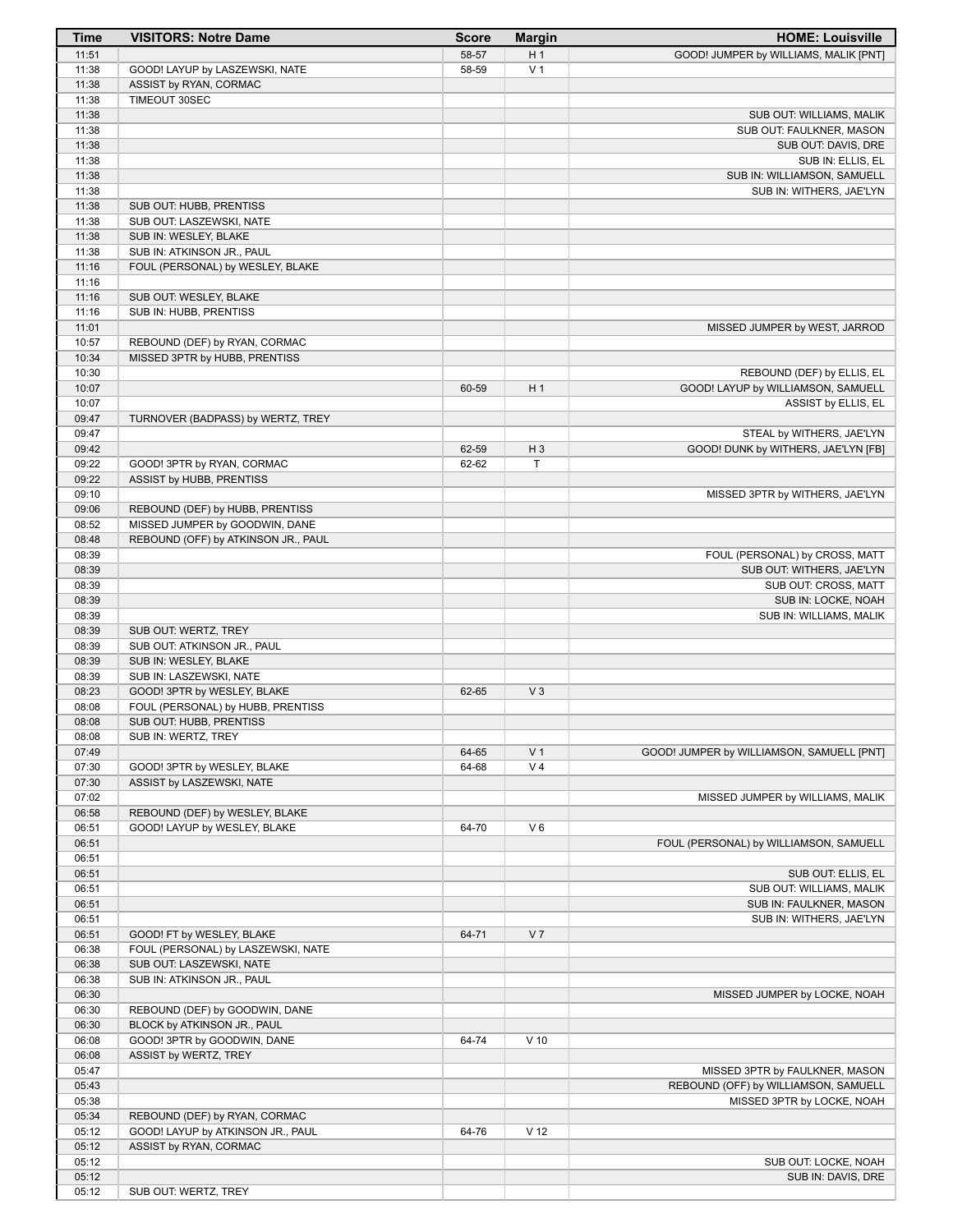| <b>Time</b>    | <b>VISITORS: Notre Dame</b>                                    | <b>Score</b> | <b>Margin</b>   | <b>HOME: Louisville</b>                     |
|----------------|----------------------------------------------------------------|--------------|-----------------|---------------------------------------------|
| 11:51          |                                                                | 58-57        | H <sub>1</sub>  | GOOD! JUMPER by WILLIAMS, MALIK [PNT]       |
| 11:38          | GOOD! LAYUP by LASZEWSKI, NATE                                 | 58-59        | V <sub>1</sub>  |                                             |
| 11:38          | ASSIST by RYAN, CORMAC                                         |              |                 |                                             |
| 11:38          | TIMEOUT 30SEC                                                  |              |                 |                                             |
| 11:38          |                                                                |              |                 | SUB OUT: WILLIAMS, MALIK                    |
| 11:38          |                                                                |              |                 | SUB OUT: FAULKNER, MASON                    |
| 11:38          |                                                                |              |                 | SUB OUT: DAVIS, DRE                         |
| 11:38          |                                                                |              |                 | SUB IN: ELLIS, EL                           |
| 11:38          |                                                                |              |                 | SUB IN: WILLIAMSON, SAMUELL                 |
| 11:38          |                                                                |              |                 | SUB IN: WITHERS, JAE'LYN                    |
| 11:38<br>11:38 | SUB OUT: HUBB, PRENTISS<br>SUB OUT: LASZEWSKI, NATE            |              |                 |                                             |
| 11:38          | SUB IN: WESLEY, BLAKE                                          |              |                 |                                             |
| 11:38          | SUB IN: ATKINSON JR., PAUL                                     |              |                 |                                             |
| 11:16          | FOUL (PERSONAL) by WESLEY, BLAKE                               |              |                 |                                             |
| 11:16          |                                                                |              |                 |                                             |
| 11:16          | SUB OUT: WESLEY, BLAKE                                         |              |                 |                                             |
| 11:16          | SUB IN: HUBB, PRENTISS                                         |              |                 |                                             |
| 11:01          |                                                                |              |                 | MISSED JUMPER by WEST, JARROD               |
| 10:57          | REBOUND (DEF) by RYAN, CORMAC                                  |              |                 |                                             |
| 10:34          | MISSED 3PTR by HUBB, PRENTISS                                  |              |                 |                                             |
| 10:30          |                                                                |              |                 | REBOUND (DEF) by ELLIS, EL                  |
| 10:07          |                                                                | 60-59        | H <sub>1</sub>  | GOOD! LAYUP by WILLIAMSON, SAMUELL          |
| 10:07          |                                                                |              |                 | ASSIST by ELLIS, EL                         |
| 09:47          | TURNOVER (BADPASS) by WERTZ, TREY                              |              |                 |                                             |
| 09:47          |                                                                |              |                 | STEAL by WITHERS, JAE'LYN                   |
| 09:42          |                                                                | 62-59        | $H_3$           | GOOD! DUNK by WITHERS, JAE'LYN [FB]         |
| 09:22          | GOOD! 3PTR by RYAN, CORMAC                                     | 62-62        | T               |                                             |
| 09:22          | ASSIST by HUBB, PRENTISS                                       |              |                 |                                             |
| 09:10          |                                                                |              |                 | MISSED 3PTR by WITHERS, JAE'LYN             |
| 09:06          | REBOUND (DEF) by HUBB, PRENTISS                                |              |                 |                                             |
| 08:52          | MISSED JUMPER by GOODWIN, DANE                                 |              |                 |                                             |
| 08:48          | REBOUND (OFF) by ATKINSON JR., PAUL                            |              |                 |                                             |
| 08:39          |                                                                |              |                 | FOUL (PERSONAL) by CROSS, MATT              |
| 08:39<br>08:39 |                                                                |              |                 | SUB OUT: WITHERS, JAE'LYN                   |
| 08:39          |                                                                |              |                 | SUB OUT: CROSS, MATT<br>SUB IN: LOCKE, NOAH |
| 08:39          |                                                                |              |                 | SUB IN: WILLIAMS, MALIK                     |
| 08:39          | SUB OUT: WERTZ, TREY                                           |              |                 |                                             |
| 08:39          | SUB OUT: ATKINSON JR., PAUL                                    |              |                 |                                             |
| 08:39          | SUB IN: WESLEY, BLAKE                                          |              |                 |                                             |
| 08:39          | SUB IN: LASZEWSKI, NATE                                        |              |                 |                                             |
| 08:23          | GOOD! 3PTR by WESLEY, BLAKE                                    | 62-65        | $V_3$           |                                             |
| 08:08          | FOUL (PERSONAL) by HUBB, PRENTISS                              |              |                 |                                             |
| 08:08          | SUB OUT: HUBB, PRENTISS                                        |              |                 |                                             |
| 08:08          | SUB IN: WERTZ, TREY                                            |              |                 |                                             |
| 07:49          |                                                                | 64-65        | V <sub>1</sub>  | GOOD! JUMPER by WILLIAMSON, SAMUELL [PNT]   |
| 07:30          | GOOD! 3PTR by WESLEY, BLAKE                                    | 64-68        | V <sub>4</sub>  |                                             |
| 07:30          | ASSIST by LASZEWSKI, NATE                                      |              |                 |                                             |
| 07:02          |                                                                |              |                 | MISSED JUMPER by WILLIAMS, MALIK            |
| 06:58          | REBOUND (DEF) by WESLEY, BLAKE                                 |              |                 |                                             |
| 06:51          | GOOD! LAYUP by WESLEY, BLAKE                                   | 64-70        | $V_6$           |                                             |
| 06:51          |                                                                |              |                 | FOUL (PERSONAL) by WILLIAMSON, SAMUELL      |
| 06:51          |                                                                |              |                 |                                             |
| 06:51          |                                                                |              |                 | SUB OUT: ELLIS, EL                          |
| 06:51          |                                                                |              |                 | SUB OUT: WILLIAMS, MALIK                    |
| 06:51          |                                                                |              |                 | SUB IN: FAULKNER, MASON                     |
| 06:51          |                                                                |              |                 | SUB IN: WITHERS, JAE'LYN                    |
| 06:51<br>06:38 | GOOD! FT by WESLEY, BLAKE                                      | 64-71        | V <sub>7</sub>  |                                             |
| 06:38          | FOUL (PERSONAL) by LASZEWSKI, NATE<br>SUB OUT: LASZEWSKI, NATE |              |                 |                                             |
| 06:38          | SUB IN: ATKINSON JR., PAUL                                     |              |                 |                                             |
| 06:30          |                                                                |              |                 | MISSED JUMPER by LOCKE, NOAH                |
| 06:30          | REBOUND (DEF) by GOODWIN, DANE                                 |              |                 |                                             |
| 06:30          | BLOCK by ATKINSON JR., PAUL                                    |              |                 |                                             |
| 06:08          | GOOD! 3PTR by GOODWIN, DANE                                    | 64-74        | $V$ 10          |                                             |
| 06:08          | ASSIST by WERTZ, TREY                                          |              |                 |                                             |
| 05:47          |                                                                |              |                 | MISSED 3PTR by FAULKNER, MASON              |
| 05:43          |                                                                |              |                 | REBOUND (OFF) by WILLIAMSON, SAMUELL        |
| 05:38          |                                                                |              |                 | MISSED 3PTR by LOCKE, NOAH                  |
| 05:34          | REBOUND (DEF) by RYAN, CORMAC                                  |              |                 |                                             |
| 05:12          | GOOD! LAYUP by ATKINSON JR., PAUL                              | 64-76        | V <sub>12</sub> |                                             |
| 05:12          | ASSIST by RYAN, CORMAC                                         |              |                 |                                             |
| 05:12          |                                                                |              |                 | SUB OUT: LOCKE, NOAH                        |
| 05:12          |                                                                |              |                 | SUB IN: DAVIS, DRE                          |
| 05:12          | SUB OUT: WERTZ, TREY                                           |              |                 |                                             |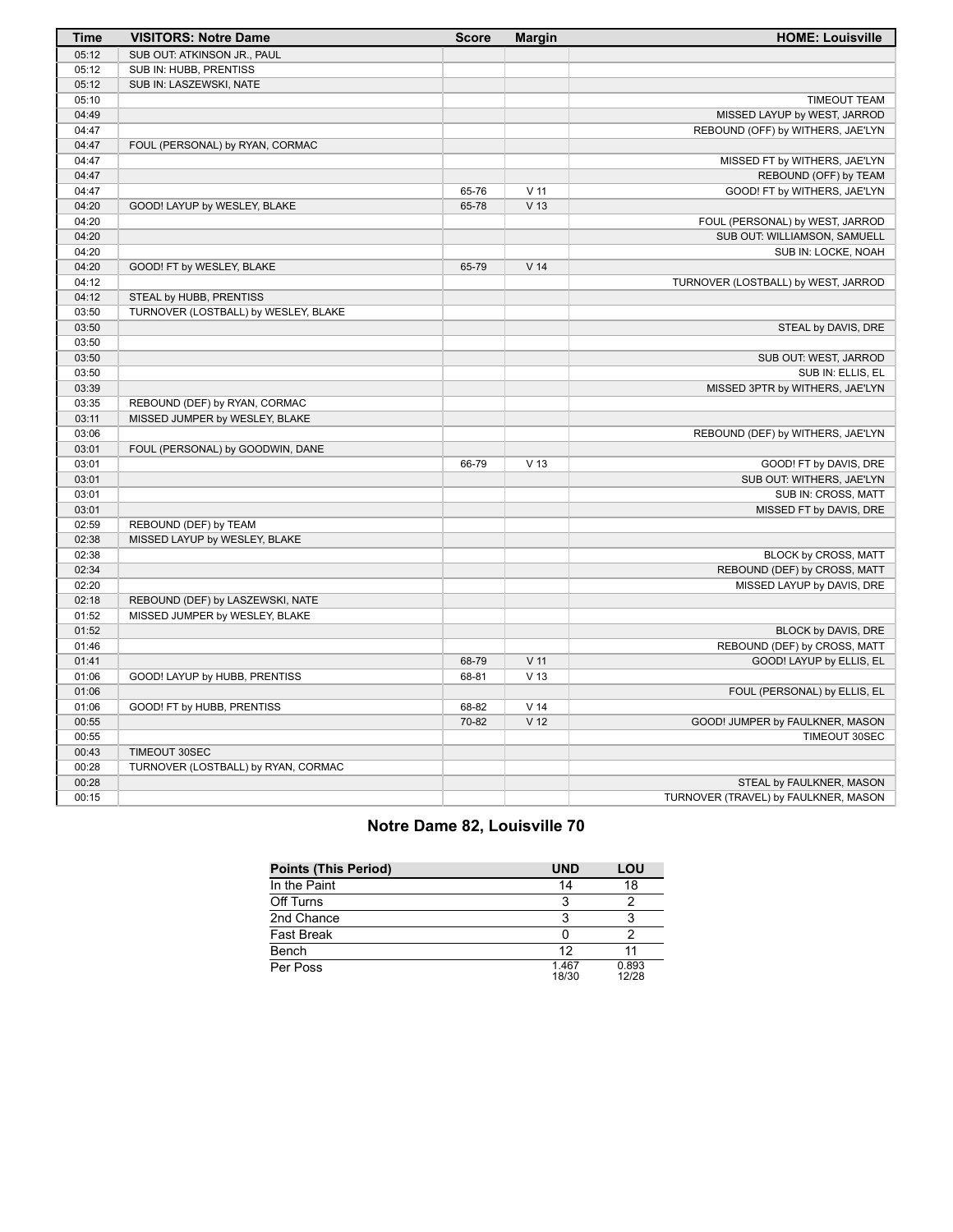| <b>Time</b>    | <b>VISITORS: Notre Dame</b>          | <b>Score</b> | <b>Margin</b>   | <b>HOME: Louisville</b>              |
|----------------|--------------------------------------|--------------|-----------------|--------------------------------------|
| 05:12          | SUB OUT: ATKINSON JR., PAUL          |              |                 |                                      |
| 05:12          | SUB IN: HUBB, PRENTISS               |              |                 |                                      |
| 05:12          | SUB IN: LASZEWSKI, NATE              |              |                 |                                      |
| 05:10          |                                      |              |                 | <b>TIMEOUT TEAM</b>                  |
| 04:49          |                                      |              |                 | MISSED LAYUP by WEST, JARROD         |
| 04:47          |                                      |              |                 | REBOUND (OFF) by WITHERS, JAE'LYN    |
| 04:47          | FOUL (PERSONAL) by RYAN, CORMAC      |              |                 |                                      |
| 04:47          |                                      |              |                 | MISSED FT by WITHERS, JAE'LYN        |
| 04:47          |                                      |              |                 | REBOUND (OFF) by TEAM                |
| 04:47          |                                      | 65-76        | $V$ 11          | GOOD! FT by WITHERS, JAE'LYN         |
| 04:20          | GOOD! LAYUP by WESLEY, BLAKE         | 65-78        | V <sub>13</sub> |                                      |
| 04:20          |                                      |              |                 | FOUL (PERSONAL) by WEST, JARROD      |
| 04:20          |                                      |              |                 | SUB OUT: WILLIAMSON, SAMUELL         |
| 04:20          |                                      |              |                 | SUB IN: LOCKE, NOAH                  |
| 04:20          | GOOD! FT by WESLEY, BLAKE            | 65-79        | V <sub>14</sub> |                                      |
| 04:12          |                                      |              |                 | TURNOVER (LOSTBALL) by WEST, JARROD  |
| 04:12          | STEAL by HUBB, PRENTISS              |              |                 |                                      |
| 03:50          | TURNOVER (LOSTBALL) by WESLEY, BLAKE |              |                 |                                      |
| 03:50          |                                      |              |                 | STEAL by DAVIS, DRE                  |
| 03:50          |                                      |              |                 |                                      |
| 03:50          |                                      |              |                 | SUB OUT: WEST, JARROD                |
| 03:50          |                                      |              |                 | SUB IN: ELLIS, EL                    |
| 03:39          |                                      |              |                 | MISSED 3PTR by WITHERS, JAE'LYN      |
| 03:35          | REBOUND (DEF) by RYAN, CORMAC        |              |                 |                                      |
| 03:11          | MISSED JUMPER by WESLEY, BLAKE       |              |                 |                                      |
| 03:06          |                                      |              |                 | REBOUND (DEF) by WITHERS, JAE'LYN    |
| 03:01          | FOUL (PERSONAL) by GOODWIN, DANE     |              |                 |                                      |
| 03:01          |                                      | 66-79        | V <sub>13</sub> | GOOD! FT by DAVIS, DRE               |
| 03:01          |                                      |              |                 | SUB OUT: WITHERS, JAE'LYN            |
| 03:01          |                                      |              |                 | SUB IN: CROSS, MATT                  |
| 03:01          |                                      |              |                 | MISSED FT by DAVIS, DRE              |
| 02:59          | REBOUND (DEF) by TEAM                |              |                 |                                      |
| 02:38          | MISSED LAYUP by WESLEY, BLAKE        |              |                 |                                      |
| 02:38          |                                      |              |                 | BLOCK by CROSS, MATT                 |
| 02:34          |                                      |              |                 | REBOUND (DEF) by CROSS, MATT         |
| 02:20          |                                      |              |                 | MISSED LAYUP by DAVIS, DRE           |
| 02:18          | REBOUND (DEF) by LASZEWSKI, NATE     |              |                 |                                      |
| 01:52          | MISSED JUMPER by WESLEY, BLAKE       |              |                 |                                      |
| 01:52          |                                      |              |                 | BLOCK by DAVIS, DRE                  |
| 01:46          |                                      |              |                 | REBOUND (DEF) by CROSS, MATT         |
| 01:41          |                                      | 68-79        | V <sub>11</sub> | GOOD! LAYUP by ELLIS, EL             |
| 01:06          | GOOD! LAYUP by HUBB, PRENTISS        | 68-81        | V <sub>13</sub> |                                      |
| 01:06          |                                      |              |                 | FOUL (PERSONAL) by ELLIS, EL         |
| 01:06          | GOOD! FT by HUBB, PRENTISS           | 68-82        | V <sub>14</sub> |                                      |
| 00:55          |                                      | 70-82        | V <sub>12</sub> | GOOD! JUMPER by FAULKNER, MASON      |
|                |                                      |              |                 | TIMEOUT 30SEC                        |
| 00:55          |                                      |              |                 |                                      |
| 00:43<br>00:28 | TIMEOUT 30SEC                        |              |                 |                                      |
|                | TURNOVER (LOSTBALL) by RYAN, CORMAC  |              |                 |                                      |
| 00:28          |                                      |              |                 | STEAL by FAULKNER, MASON             |
| 00:15          |                                      |              |                 | TURNOVER (TRAVEL) by FAULKNER, MASON |

# **Notre Dame 82, Louisville 70**

| <b>Points (This Period)</b> | <b>UND</b>     | LOU            |
|-----------------------------|----------------|----------------|
| In the Paint                | 14             | 18             |
| Off Turns                   |                |                |
| 2nd Chance                  |                |                |
| <b>Fast Break</b>           |                |                |
| Bench                       | 12             |                |
| Per Poss                    | 1.467<br>18/30 | 0.893<br>12/28 |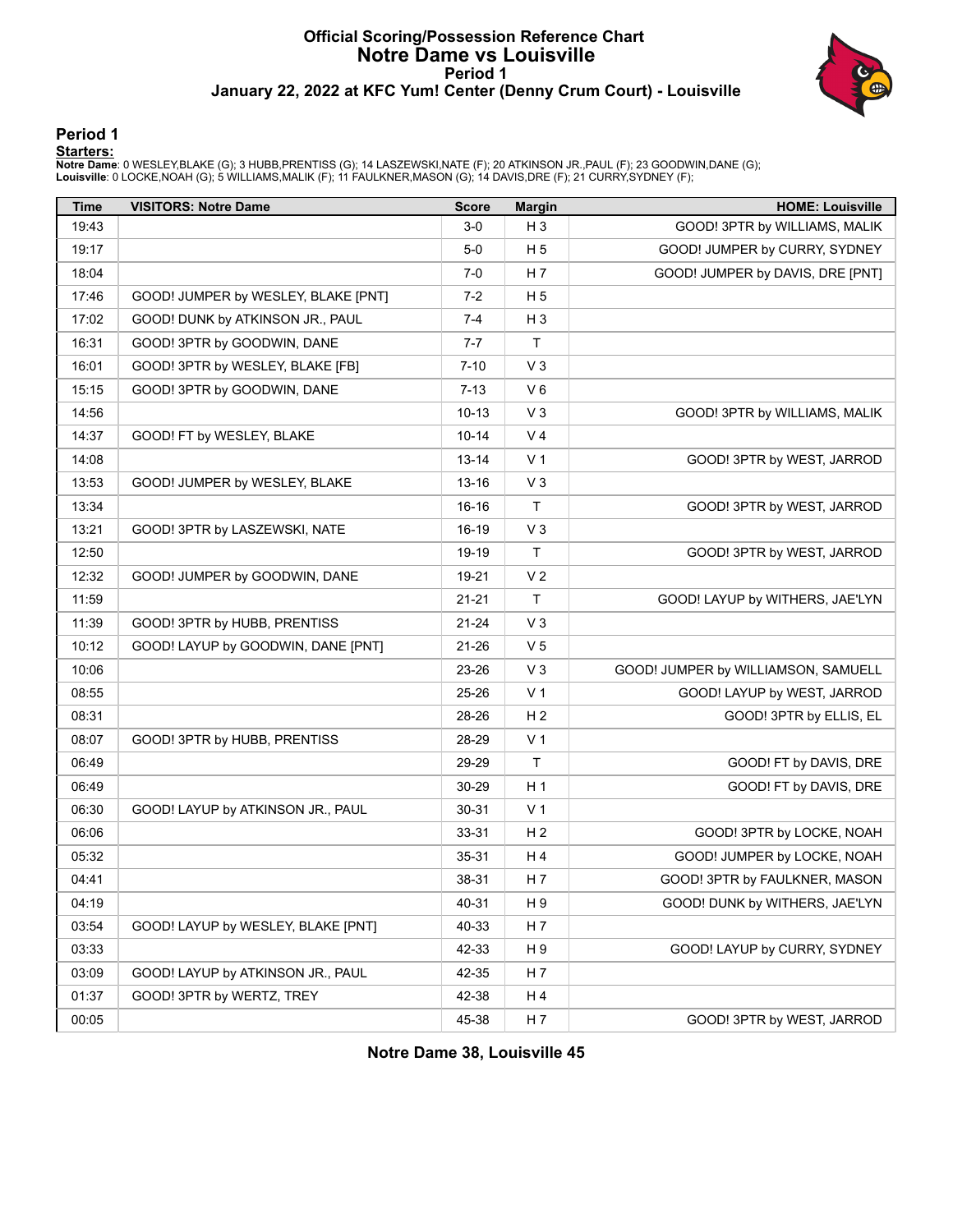### **Official Scoring/Possession Reference Chart Notre Dame vs Louisville Period 1 January 22, 2022 at KFC Yum! Center (Denny Crum Court) - Louisville**



#### **Period 1**

<mark>Startersː</mark><br>Notre Dameː 0 WESLEY,BLAKE (G); 3 HUBB,PRENTISS (G); 14 LASZEWSKI,NATE (F); 20 ATKINSON JR.,PAUL (F); 23 GOODWIN,DANE (G);<br>Louisville: 0 LOCKE,NOAH (G); 5 WILLIAMS,MALIK (F); 11 FAULKNER,MASON (G); 14 DAVIS,DRE

| Time  | <b>VISITORS: Notre Dame</b>         | <b>Score</b> | <b>Margin</b>  | <b>HOME: Louisville</b>             |
|-------|-------------------------------------|--------------|----------------|-------------------------------------|
| 19:43 |                                     | $3-0$        | $H_3$          | GOOD! 3PTR by WILLIAMS, MALIK       |
| 19:17 |                                     | $5-0$        | H 5            | GOOD! JUMPER by CURRY, SYDNEY       |
| 18:04 |                                     | 7-0          | H <sub>7</sub> | GOOD! JUMPER by DAVIS, DRE [PNT]    |
| 17:46 | GOOD! JUMPER by WESLEY, BLAKE [PNT] | $7-2$        | H <sub>5</sub> |                                     |
| 17:02 | GOOD! DUNK by ATKINSON JR., PAUL    | 7-4          | $H_3$          |                                     |
| 16:31 | GOOD! 3PTR by GOODWIN, DANE         | $7 - 7$      | Τ              |                                     |
| 16:01 | GOOD! 3PTR by WESLEY, BLAKE [FB]    | $7 - 10$     | $V_3$          |                                     |
| 15:15 | GOOD! 3PTR by GOODWIN, DANE         | 7-13         | $V_6$          |                                     |
| 14:56 |                                     | $10 - 13$    | $V_3$          | GOOD! 3PTR by WILLIAMS, MALIK       |
| 14:37 | GOOD! FT by WESLEY, BLAKE           | 10-14        | V <sub>4</sub> |                                     |
| 14:08 |                                     | 13-14        | V <sub>1</sub> | GOOD! 3PTR by WEST, JARROD          |
| 13:53 | GOOD! JUMPER by WESLEY, BLAKE       | 13-16        | $V_3$          |                                     |
| 13:34 |                                     | 16-16        | $\mathsf{T}$   | GOOD! 3PTR by WEST, JARROD          |
| 13:21 | GOOD! 3PTR by LASZEWSKI, NATE       | 16-19        | $V_3$          |                                     |
| 12:50 |                                     | 19-19        | T              | GOOD! 3PTR by WEST, JARROD          |
| 12:32 | GOOD! JUMPER by GOODWIN, DANE       | 19-21        | V <sub>2</sub> |                                     |
| 11:59 |                                     | $21 - 21$    | T              | GOOD! LAYUP by WITHERS, JAE'LYN     |
| 11:39 | GOOD! 3PTR by HUBB, PRENTISS        | $21 - 24$    | V <sub>3</sub> |                                     |
| 10:12 | GOOD! LAYUP by GOODWIN, DANE [PNT]  | 21-26        | V <sub>5</sub> |                                     |
| 10:06 |                                     | 23-26        | V <sub>3</sub> | GOOD! JUMPER by WILLIAMSON, SAMUELL |
| 08:55 |                                     | 25-26        | V <sub>1</sub> | GOOD! LAYUP by WEST, JARROD         |
| 08:31 |                                     | 28-26        | H <sub>2</sub> | GOOD! 3PTR by ELLIS, EL             |
| 08:07 | GOOD! 3PTR by HUBB, PRENTISS        | 28-29        | V <sub>1</sub> |                                     |
| 06:49 |                                     | 29-29        | $\mathsf{T}$   | GOOD! FT by DAVIS, DRE              |
| 06:49 |                                     | 30-29        | H <sub>1</sub> | GOOD! FT by DAVIS, DRE              |
| 06:30 | GOOD! LAYUP by ATKINSON JR., PAUL   | 30-31        | V 1            |                                     |
| 06:06 |                                     | 33-31        | H <sub>2</sub> | GOOD! 3PTR by LOCKE, NOAH           |
| 05:32 |                                     | 35-31        | H 4            | GOOD! JUMPER by LOCKE, NOAH         |
| 04:41 |                                     | 38-31        | H 7            | GOOD! 3PTR by FAULKNER, MASON       |
| 04:19 |                                     | 40-31        | H 9            | GOOD! DUNK by WITHERS, JAE'LYN      |
| 03:54 | GOOD! LAYUP by WESLEY, BLAKE [PNT]  | 40-33        | H 7            |                                     |
| 03:33 |                                     | 42-33        | H 9            | GOOD! LAYUP by CURRY, SYDNEY        |
| 03:09 | GOOD! LAYUP by ATKINSON JR., PAUL   | 42-35        | H 7            |                                     |
| 01:37 | GOOD! 3PTR by WERTZ, TREY           | 42-38        | H 4            |                                     |
| 00:05 |                                     | 45-38        | H 7            | GOOD! 3PTR by WEST, JARROD          |

**Notre Dame 38, Louisville 45**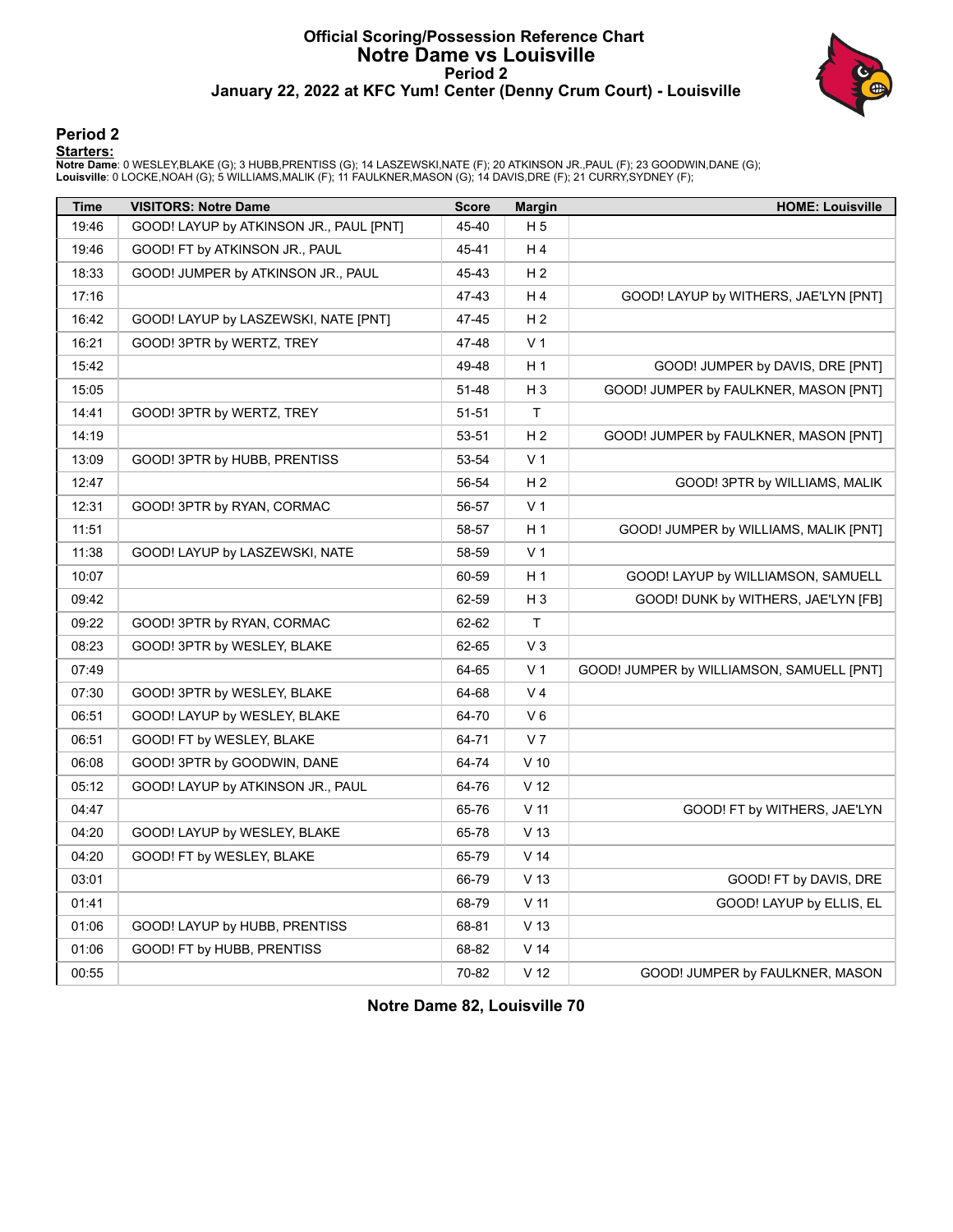### **Official Scoring/Possession Reference Chart Notre Dame vs Louisville Period 2 January 22, 2022 at KFC Yum! Center (Denny Crum Court) - Louisville**



#### **Period 2**

#### **Starters:**

**Notre Dame**: 0 WESLEY,BLAKE (G); 3 HUBB,PRENTISS (G); 14 LASZEWSKI,NATE (F); 20 ATKINSON JR.,PAUL (F); 23 GOODWIN,DANE (G);<br>**Louisville**: 0 LOCKE,NOAH (G); 5 WILLIAMS,MALIK (F); 11 FAULKNER,MASON (G); 14 DAVIS,DRE (F); 21

| <b>Time</b> | <b>VISITORS: Notre Dame</b>             | <b>Score</b> | <b>Margin</b>   | <b>HOME: Louisville</b>                   |
|-------------|-----------------------------------------|--------------|-----------------|-------------------------------------------|
| 19:46       | GOOD! LAYUP by ATKINSON JR., PAUL [PNT] | 45-40        | H <sub>5</sub>  |                                           |
| 19:46       | GOOD! FT by ATKINSON JR., PAUL          | 45-41        | H 4             |                                           |
| 18:33       | GOOD! JUMPER by ATKINSON JR., PAUL      | 45-43        | H <sub>2</sub>  |                                           |
| 17:16       |                                         | 47-43        | H4              | GOOD! LAYUP by WITHERS, JAE'LYN [PNT]     |
| 16:42       | GOOD! LAYUP by LASZEWSKI, NATE [PNT]    | 47-45        | H <sub>2</sub>  |                                           |
| 16:21       | GOOD! 3PTR by WERTZ, TREY               | 47-48        | V <sub>1</sub>  |                                           |
| 15:42       |                                         | 49-48        | H 1             | GOOD! JUMPER by DAVIS, DRE [PNT]          |
| 15:05       |                                         | 51-48        | H <sub>3</sub>  | GOOD! JUMPER by FAULKNER, MASON [PNT]     |
| 14:41       | GOOD! 3PTR by WERTZ, TREY               | 51-51        | $\mathsf T$     |                                           |
| 14:19       |                                         | 53-51        | H <sub>2</sub>  | GOOD! JUMPER by FAULKNER, MASON [PNT]     |
| 13:09       | GOOD! 3PTR by HUBB, PRENTISS            | 53-54        | V <sub>1</sub>  |                                           |
| 12:47       |                                         | 56-54        | H <sub>2</sub>  | GOOD! 3PTR by WILLIAMS, MALIK             |
| 12:31       | GOOD! 3PTR by RYAN, CORMAC              | 56-57        | V <sub>1</sub>  |                                           |
| 11:51       |                                         | 58-57        | H <sub>1</sub>  | GOOD! JUMPER by WILLIAMS, MALIK [PNT]     |
| 11:38       | GOOD! LAYUP by LASZEWSKI, NATE          | 58-59        | V <sub>1</sub>  |                                           |
| 10:07       |                                         | 60-59        | H 1             | GOOD! LAYUP by WILLIAMSON, SAMUELL        |
| 09:42       |                                         | 62-59        | $H_3$           | GOOD! DUNK by WITHERS, JAE'LYN [FB]       |
| 09:22       | GOOD! 3PTR by RYAN, CORMAC              | 62-62        | T               |                                           |
| 08:23       | GOOD! 3PTR by WESLEY, BLAKE             | 62-65        | $V_3$           |                                           |
| 07:49       |                                         | 64-65        | V <sub>1</sub>  | GOOD! JUMPER by WILLIAMSON, SAMUELL [PNT] |
| 07:30       | GOOD! 3PTR by WESLEY, BLAKE             | 64-68        | V <sub>4</sub>  |                                           |
| 06:51       | GOOD! LAYUP by WESLEY, BLAKE            | 64-70        | V6              |                                           |
| 06:51       | GOOD! FT by WESLEY, BLAKE               | 64-71        | V <sub>7</sub>  |                                           |
| 06:08       | GOOD! 3PTR by GOODWIN, DANE             | 64-74        | $V$ 10          |                                           |
| 05:12       | GOOD! LAYUP by ATKINSON JR., PAUL       | 64-76        | V <sub>12</sub> |                                           |
| 04:47       |                                         | 65-76        | V <sub>11</sub> | GOOD! FT by WITHERS, JAE'LYN              |
| 04:20       | GOOD! LAYUP by WESLEY, BLAKE            | 65-78        | V <sub>13</sub> |                                           |
| 04:20       | GOOD! FT by WESLEY, BLAKE               | 65-79        | V <sub>14</sub> |                                           |
| 03:01       |                                         | 66-79        | V <sub>13</sub> | GOOD! FT by DAVIS, DRE                    |
| 01:41       |                                         | 68-79        | V <sub>11</sub> | GOOD! LAYUP by ELLIS, EL                  |
| 01:06       | GOOD! LAYUP by HUBB, PRENTISS           | 68-81        | V <sub>13</sub> |                                           |
| 01:06       | GOOD! FT by HUBB, PRENTISS              | 68-82        | V <sub>14</sub> |                                           |
| 00:55       |                                         | 70-82        | V <sub>12</sub> | GOOD! JUMPER by FAULKNER, MASON           |

**Notre Dame 82, Louisville 70**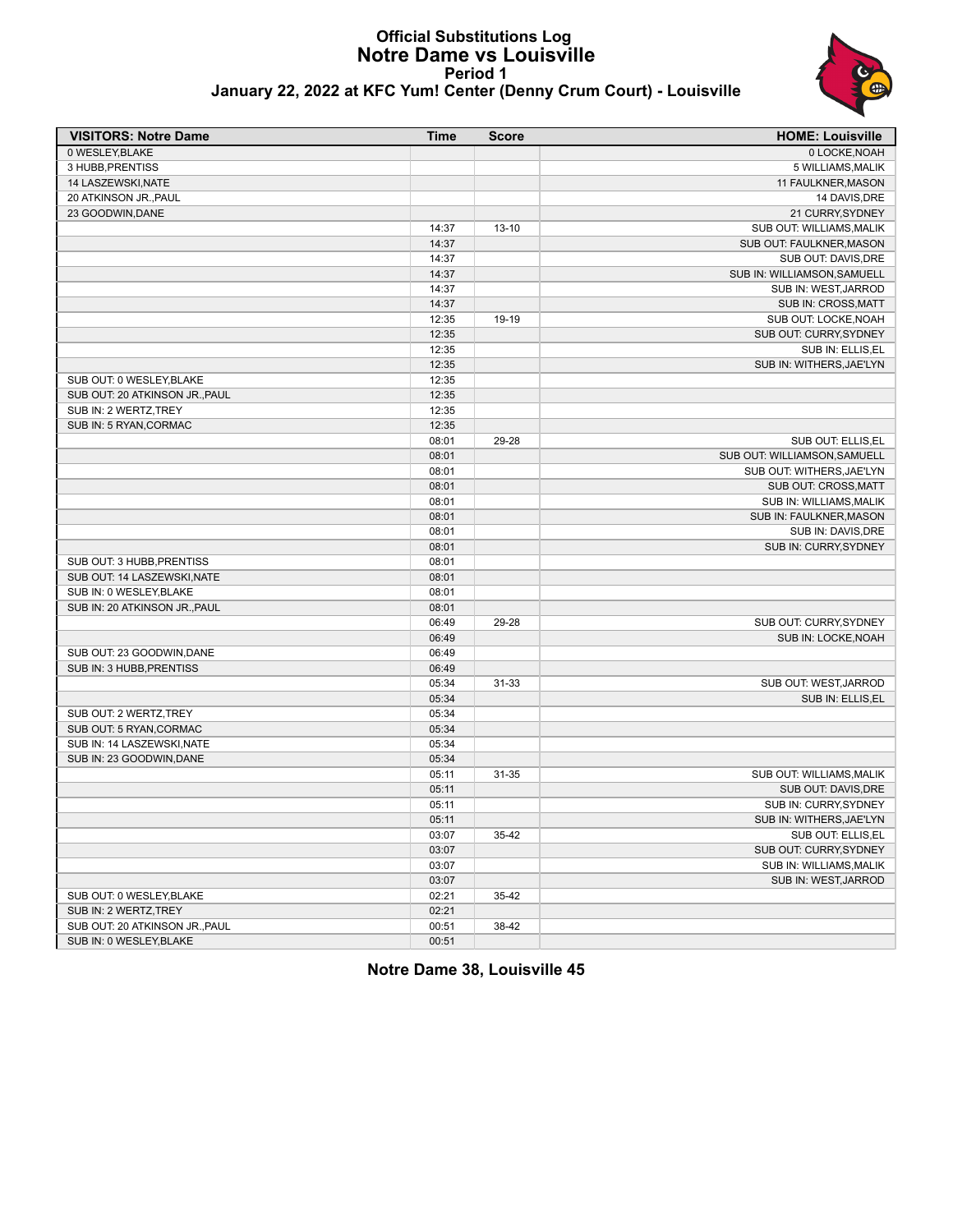#### **Official Substitutions Log Notre Dame vs Louisville Period 1 January 22, 2022 at KFC Yum! Center (Denny Crum Court) - Louisville**



| January 22, 2022 at KFC Yum! Center (Denny Crum Court) - Louisville |  |
|---------------------------------------------------------------------|--|
|                                                                     |  |

| <b>VISITORS: Notre Dame</b>    | <b>Time</b>    | <b>Score</b> | <b>HOME: Louisville</b>                            |
|--------------------------------|----------------|--------------|----------------------------------------------------|
| 0 WESLEY, BLAKE                |                |              | 0 LOCKE, NOAH                                      |
| 3 HUBB, PRENTISS               |                |              | 5 WILLIAMS, MALIK                                  |
| 14 LASZEWSKI, NATE             |                |              | 11 FAULKNER, MASON                                 |
| 20 ATKINSON JR., PAUL          |                |              | 14 DAVIS, DRE                                      |
| 23 GOODWIN, DANE               |                |              | 21 CURRY, SYDNEY                                   |
|                                | 14:37          | $13 - 10$    | <b>SUB OUT: WILLIAMS, MALIK</b>                    |
|                                | 14:37          |              | SUB OUT: FAULKNER, MASON                           |
|                                | 14:37          |              | SUB OUT: DAVIS, DRE                                |
|                                | 14:37          |              | SUB IN: WILLIAMSON, SAMUELL                        |
|                                | 14:37          |              | SUB IN: WEST, JARROD                               |
|                                | 14:37          |              | SUB IN: CROSS, MATT                                |
|                                | 12:35          | 19-19        | SUB OUT: LOCKE, NOAH                               |
|                                | 12:35          |              | SUB OUT: CURRY, SYDNEY                             |
|                                | 12:35          |              | SUB IN: ELLIS, EL                                  |
|                                | 12:35          |              | SUB IN: WITHERS, JAE'LYN                           |
| SUB OUT: 0 WESLEY, BLAKE       | 12:35          |              |                                                    |
| SUB OUT: 20 ATKINSON JR., PAUL | 12:35          |              |                                                    |
| SUB IN: 2 WERTZ, TREY          | 12:35          |              |                                                    |
| SUB IN: 5 RYAN, CORMAC         | 12:35          |              |                                                    |
|                                | 08:01          | 29-28        | SUB OUT: ELLIS.EL                                  |
|                                | 08:01          |              | SUB OUT: WILLIAMSON, SAMUELL                       |
|                                | 08:01          |              | SUB OUT: WITHERS, JAE'LYN                          |
|                                | 08:01          |              | SUB OUT: CROSS, MATT                               |
|                                | 08:01          |              | SUB IN: WILLIAMS, MALIK<br>SUB IN: FAULKNER, MASON |
|                                | 08:01          |              |                                                    |
|                                | 08:01<br>08:01 |              | SUB IN: DAVIS, DRE<br>SUB IN: CURRY, SYDNEY        |
| SUB OUT: 3 HUBB, PRENTISS      | 08:01          |              |                                                    |
| SUB OUT: 14 LASZEWSKI.NATE     | 08:01          |              |                                                    |
| SUB IN: 0 WESLEY, BLAKE        | 08:01          |              |                                                    |
| SUB IN: 20 ATKINSON JR., PAUL  | 08:01          |              |                                                    |
|                                | 06:49          | 29-28        | SUB OUT: CURRY, SYDNEY                             |
|                                | 06:49          |              | SUB IN: LOCKE, NOAH                                |
| SUB OUT: 23 GOODWIN.DANE       | 06:49          |              |                                                    |
| SUB IN: 3 HUBB, PRENTISS       | 06:49          |              |                                                    |
|                                | 05:34          | $31 - 33$    | SUB OUT: WEST, JARROD                              |
|                                | 05:34          |              | SUB IN: ELLIS, EL                                  |
| SUB OUT: 2 WERTZ, TREY         | 05:34          |              |                                                    |
| SUB OUT: 5 RYAN, CORMAC        | 05:34          |              |                                                    |
| SUB IN: 14 LASZEWSKI, NATE     | 05:34          |              |                                                    |
| SUB IN: 23 GOODWIN.DANE        | 05:34          |              |                                                    |
|                                | 05:11          | 31-35        | SUB OUT: WILLIAMS, MALIK                           |
|                                | 05:11          |              | SUB OUT: DAVIS, DRE                                |
|                                | 05:11          |              | SUB IN: CURRY, SYDNEY                              |
|                                | 05:11          |              | SUB IN: WITHERS, JAE'LYN                           |
|                                | 03:07          | $35-42$      | SUB OUT: ELLIS, EL                                 |
|                                | 03:07          |              | SUB OUT: CURRY, SYDNEY                             |
|                                | 03:07          |              | SUB IN: WILLIAMS, MALIK                            |
|                                | 03:07          |              | SUB IN: WEST, JARROD                               |
| SUB OUT: 0 WESLEY, BLAKE       | 02:21          | $35 - 42$    |                                                    |
| SUB IN: 2 WERTZ, TREY          | 02:21          |              |                                                    |
| SUB OUT: 20 ATKINSON JR., PAUL | 00:51          | 38-42        |                                                    |
| SUB IN: 0 WESLEY, BLAKE        | 00:51          |              |                                                    |

**Notre Dame 38, Louisville 45**